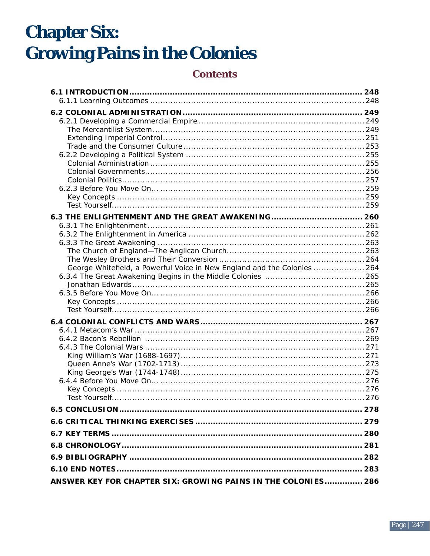# **Chapter Six: Growing Pains in the Colonies**

# **Contents**

| George Whitefield, a Powerful Voice in New England and the Colonies  264 |  |
|--------------------------------------------------------------------------|--|
|                                                                          |  |
|                                                                          |  |
|                                                                          |  |
|                                                                          |  |
|                                                                          |  |
|                                                                          |  |
|                                                                          |  |
|                                                                          |  |
|                                                                          |  |
|                                                                          |  |
|                                                                          |  |
|                                                                          |  |
|                                                                          |  |
|                                                                          |  |
|                                                                          |  |
|                                                                          |  |
|                                                                          |  |
|                                                                          |  |
|                                                                          |  |
| ANSWER KEY FOR CHAPTER SIX: GROWING PAINS IN THE COLONIES 286            |  |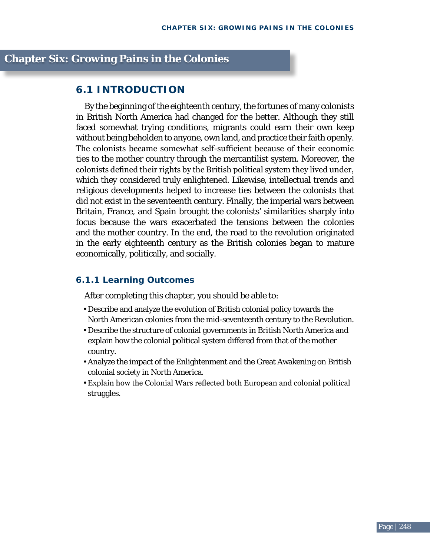## **chapter Six: growing Pains in the colonies**

### **6.1 IntrODUCtIOn**

By the beginning of the eighteenth century, the fortunes of many colonists in British North America had changed for the better. Although they still faced somewhat trying conditions, migrants could earn their own keep without being beholden to anyone, own land, and practice their faith openly. The colonists became somewhat self-sufficient because of their economic ties to the mother country through the mercantilist system. Moreover, the colonists defined their rights by the British political system they lived under, which they considered truly enlightened. Likewise, intellectual trends and religious developments helped to increase ties between the colonists that did not exist in the seventeenth century. Finally, the imperial wars between Britain, France, and Spain brought the colonists' similarities sharply into focus because the wars exacerbated the tensions between the colonies and the mother country. In the end, the road to the revolution originated in the early eighteenth century as the British colonies began to mature economically, politically, and socially.

### **6.1.1 learning Outcomes**

After completing this chapter, you should be able to:

- Describe and analyze the evolution of British colonial policy towards the North American colonies from the mid-seventeenth century to the Revolution.
- Describe the structure of colonial governments in British North America and explain how the colonial political system differed from that of the mother country.
- Analyze the impact of the Enlightenment and the Great Awakening on British colonial society in North America.
- Explain how the Colonial Wars reflected both European and colonial political struggles.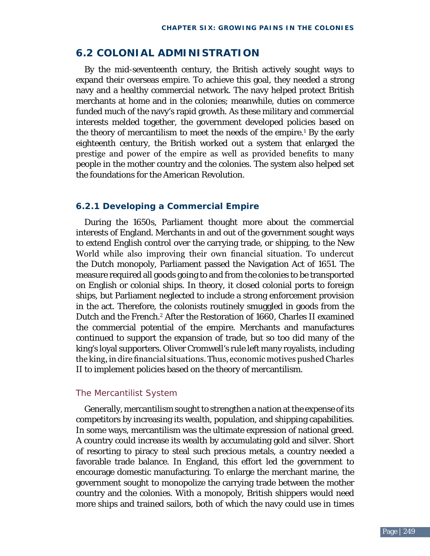### **6.2 COlOnIal aDmInIStratIOn**

By the mid-seventeenth century, the British actively sought ways to expand their overseas empire. To achieve this goal, they needed a strong navy and a healthy commercial network. The navy helped protect British merchants at home and in the colonies; meanwhile, duties on commerce funded much of the navy's rapid growth. As these military and commercial interests melded together, the government developed policies based on the theory of mercantilism to meet the needs of the empire.<sup>1</sup> By the early eighteenth century, the British worked out a system that enlarged the prestige and power of the empire as well as provided benefits to many people in the mother country and the colonies. The system also helped set the foundations for the American Revolution.

### **6.2.1 Developing a Commercial Empire**

During the 1650s, Parliament thought more about the commercial interests of England. Merchants in and out of the government sought ways to extend English control over the carrying trade, or shipping, to the New World while also improving their own financial situation. To undercut the Dutch monopoly, Parliament passed the Navigation Act of 1651. The measure required all goods going to and from the colonies to be transported on English or colonial ships. In theory, it closed colonial ports to foreign ships, but Parliament neglected to include a strong enforcement provision in the act. Therefore, the colonists routinely smuggled in goods from the Dutch and the French.<sup>2</sup> After the Restoration of 1660, Charles II examined the commercial potential of the empire. Merchants and manufactures continued to support the expansion of trade, but so too did many of the king's loyal supporters. Oliver Cromwell's rule left many royalists, including the king, in dire financial situations. Thus, economic motives pushed Charles II to implement policies based on the theory of mercantilism.

### The Mercantilist System

Generally, mercantilism sought to strengthen a nation at the expense of its competitors by increasing its wealth, population, and shipping capabilities. In some ways, mercantilism was the ultimate expression of national greed. A country could increase its wealth by accumulating gold and silver. Short of resorting to piracy to steal such precious metals, a country needed a favorable trade balance. In England, this effort led the government to encourage domestic manufacturing. To enlarge the merchant marine, the government sought to monopolize the carrying trade between the mother country and the colonies. With a monopoly, British shippers would need more ships and trained sailors, both of which the navy could use in times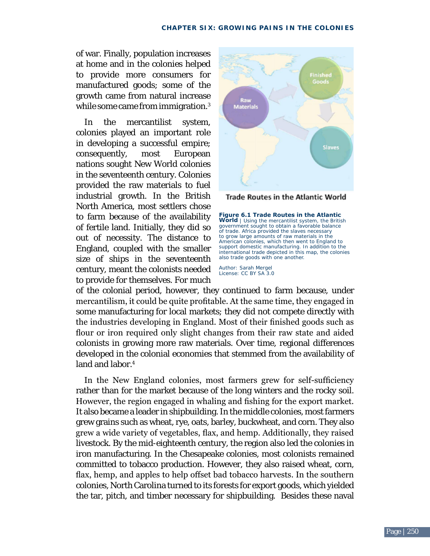of war. Finally, population increases at home and in the colonies helped to provide more consumers for manufactured goods; some of the growth came from natural increase while some came from immigration.<sup>3</sup>

In the mercantilist system, colonies played an important role in developing a successful empire; consequently, most European nations sought New World colonies in the seventeenth century. Colonies provided the raw materials to fuel industrial growth. In the British North America, most settlers chose to farm because of the availability of fertile land. Initially, they did so out of necessity. The distance to England, coupled with the smaller size of ships in the seventeenth century, meant the colonists needed to provide for themselves. For much



**Trade Routes in the Atlantic World** 

**Figure 6.1 Trade Routes in the Atlantic World** | Using the mercantilist system, the British government sought to obtain a favorable balance of trade. Africa provided the slaves necessary to grow large amounts of raw materials in the American colonies, which then went to England to support domestic manufacturing. In addition to the international trade depicted in this map, the colonies also trade goods with one another.

Author: Sarah Mergel License: CC BY SA 3.0

of the colonial period, however, they continued to farm because, under mercantilism, it could be quite profitable. At the same time, they engaged in some manufacturing for local markets; they did not compete directly with the industries developing in England. Most of their finished goods such as flour or iron required only slight changes from their raw state and aided colonists in growing more raw materials. Over time, regional differences developed in the colonial economies that stemmed from the availability of land and labor.<sup>4</sup>

 In the New England colonies, most farmers grew for self-sufficiency rather than for the market because of the long winters and the rocky soil. However, the region engaged in whaling and fishing for the export market. It also became a leader in shipbuilding. In the middle colonies, most farmers grew grains such as wheat, rye, oats, barley, buckwheat, and corn. They also grew a wide variety of vegetables, flax, and hemp. Additionally, they raised livestock. By the mid-eighteenth century, the region also led the colonies in iron manufacturing. In the Chesapeake colonies, most colonists remained committed to tobacco production. However, they also raised wheat, corn, flax, hemp, and apples to help offset bad tobacco harvests. In the southern colonies, North Carolina turned to its forests for export goods, which yielded the tar, pitch, and timber necessary for shipbuilding. Besides these naval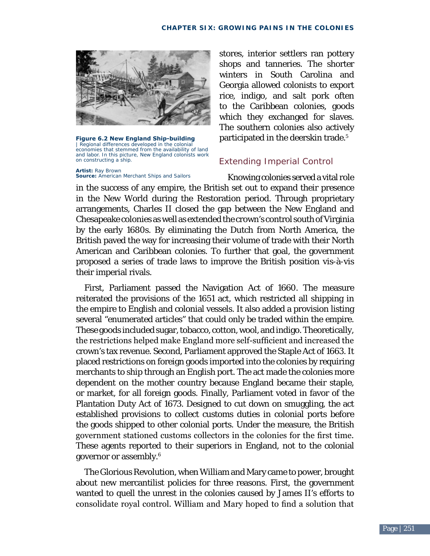

**Figure 6.2 New England Ship-building** | Regional differences developed in the colonial economies that stemmed from the availability of land and labor. In this picture, New England colonists work on constructing a ship.

**artist:** Ray Brown **Source:** *American Merchant Ships and Sailors*  stores, interior settlers ran pottery shops and tanneries. The shorter winters in South Carolina and Georgia allowed colonists to export rice, indigo, and salt pork often to the Caribbean colonies, goods which they exchanged for slaves. The southern colonies also actively participated in the deerskin trade.<sup>5</sup>

### Extending Imperial Control

Knowing colonies served a vital role in the success of any empire, the British set out to expand their presence in the New World during the Restoration period. Through proprietary arrangements, Charles II closed the gap between the New England and Chesapeake colonies as well as extended the crown's control south of Virginia by the early 1680s. By eliminating the Dutch from North America, the British paved the way for increasing their volume of trade with their North American and Caribbean colonies. To further that goal, the government proposed a series of trade laws to improve the British position vis-à-vis their imperial rivals.

First, Parliament passed the Navigation Act of 1660. The measure reiterated the provisions of the 1651 act, which restricted all shipping in the empire to English and colonial vessels. It also added a provision listing several "enumerated articles" that could only be traded within the empire. These goods included sugar, tobacco, cotton, wool, and indigo. Theoretically, the restrictions helped make England more self-sufficient and increased the crown's tax revenue. Second, Parliament approved the Staple Act of 1663. It placed restrictions on foreign goods imported into the colonies by requiring merchants to ship through an English port. The act made the colonies more dependent on the mother country because England became their staple, or market, for all foreign goods. Finally, Parliament voted in favor of the Plantation Duty Act of 1673. Designed to cut down on smuggling, the act established provisions to collect customs duties in colonial ports before the goods shipped to other colonial ports. Under the measure, the British government stationed customs collectors in the colonies for the first time. These agents reported to their superiors in England, not to the colonial governor or assembly.6

The Glorious Revolution, when William and Mary came to power, brought about new mercantilist policies for three reasons. First, the government wanted to quell the unrest in the colonies caused by James II's efforts to consolidate royal control. William and Mary hoped to find a solution that

 $\overline{2}$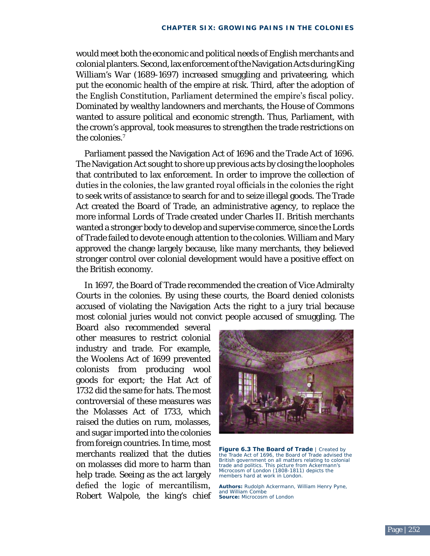would meet both the economic and political needs of English merchants and colonial planters. Second, lax enforcement of the Navigation Acts during King William's War (1689-1697) increased smuggling and privateering, which put the economic health of the empire at risk. Third, after the adoption of the English Constitution, Parliament determined the empire's fiscal policy. Dominated by wealthy landowners and merchants, the House of Commons wanted to assure political and economic strength. Thus, Parliament, with the crown's approval, took measures to strengthen the trade restrictions on the colonies.<sup>7</sup>

Parliament passed the Navigation Act of 1696 and the Trade Act of 1696. The Navigation Act sought to shore up previous acts by closing the loopholes that contributed to lax enforcement. In order to improve the collection of duties in the colonies, the law granted royal officials in the colonies the right to seek writs of assistance to search for and to seize illegal goods. The Trade Act created the Board of Trade, an administrative agency, to replace the more informal Lords of Trade created under Charles II. British merchants wanted a stronger body to develop and supervise commerce, since the Lords of Trade failed to devote enough attention to the colonies. William and Mary approved the change largely because, like many merchants, they believed stronger control over colonial development would have a positive effect on the British economy.

In 1697, the Board of Trade recommended the creation of Vice Admiralty Courts in the colonies. By using these courts, the Board denied colonists accused of violating the Navigation Acts the right to a jury trial because most colonial juries would not convict people accused of smuggling. The

Board also recommended several other measures to restrict colonial industry and trade. For example, the Woolens Act of 1699 prevented colonists from producing wool goods for export; the Hat Act of 1732 did the same for hats. The most controversial of these measures was the Molasses Act of 1733, which raised the duties on rum, molasses, and sugar imported into the colonies from foreign countries. In time, most merchants realized that the duties on molasses did more to harm than help trade. Seeing as the act largely defied the logic of mercantilism, Robert Walpole, the king's chief



**Figure 6.3 The Board of Trade** | Created by the Trade Act of 1696, the Board of Trade advised the British government on all matters relating to colonial trade and politics. This picture from Ackermann's *Microcosm of London* (1808-1811) depicts the members hard at work in London.

**Authors:** Rudolph Ackermann, William Henry Pyne, and William Combe **Source:** *Microcosm of London*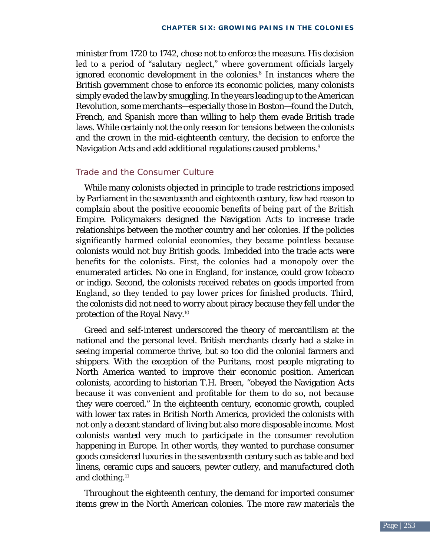minister from 1720 to 1742, chose not to enforce the measure. His decision led to a period of "salutary neglect," where government officials largely ignored economic development in the colonies.<sup>8</sup> In instances where the British government chose to enforce its economic policies, many colonists simply evaded the law by smuggling. In the years leading up to the American Revolution, some merchants—especially those in Boston—found the Dutch, French, and Spanish more than willing to help them evade British trade laws. While certainly not the only reason for tensions between the colonists and the crown in the mid-eighteenth century, the decision to enforce the Navigation Acts and add additional regulations caused problems.<sup>9</sup>

### Trade and the Consumer Culture

While many colonists objected in principle to trade restrictions imposed by Parliament in the seventeenth and eighteenth century, few had reason to complain about the positive economic benefits of being part of the British Empire. Policymakers designed the Navigation Acts to increase trade relationships between the mother country and her colonies. If the policies significantly harmed colonial economies, they became pointless because colonists would not buy British goods. Imbedded into the trade acts were benefits for the colonists. First, the colonies had a monopoly over the enumerated articles. No one in England, for instance, could grow tobacco or indigo. Second, the colonists received rebates on goods imported from England, so they tended to pay lower prices for finished products. Third, the colonists did not need to worry about piracy because they fell under the protection of the Royal Navy.10

Greed and self-interest underscored the theory of mercantilism at the national and the personal level. British merchants clearly had a stake in seeing imperial commerce thrive, but so too did the colonial farmers and shippers. With the exception of the Puritans, most people migrating to North America wanted to improve their economic position. American colonists, according to historian T.H. Breen, "obeyed the Navigation Acts because it was convenient and profitable for them to do so, not because they were coerced." In the eighteenth century, economic growth, coupled with lower tax rates in British North America, provided the colonists with not only a decent standard of living but also more disposable income. Most colonists wanted very much to participate in the consumer revolution happening in Europe. In other words, they wanted to purchase consumer goods considered luxuries in the seventeenth century such as table and bed linens, ceramic cups and saucers, pewter cutlery, and manufactured cloth and clothing.<sup>11</sup>

Throughout the eighteenth century, the demand for imported consumer items grew in the North American colonies. The more raw materials the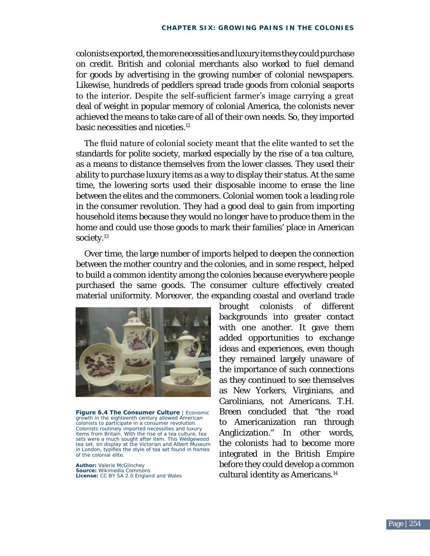colonists exported, the more necessities and luxury items they could purchase on credit. British and colonial merchants also worked to fuel demand for goods by advertising in the growing number of colonial newspapers. Likewise, hundreds of peddlers spread trade goods from colonial seaports to the interior. Despite the self-sufficient farmer's image carrying a great deal of weight in popular memory of colonial America, the colonists never achieved the means to take care of all of their own needs. So, they imported basic necessities and niceties.<sup>12</sup>

The fluid nature of colonial society meant that the elite wanted to set the standards for polite society, marked especially by the rise of a tea culture, as a means to distance themselves from the lower classes. They used their ability to purchase luxury items as a way to display their status. At the same time, the lowering sorts used their disposable income to erase the line between the elites and the commoners. Colonial women took a leading role in the consumer revolution. They had a good deal to gain from importing household items because they would no longer have to produce them in the home and could use those goods to mark their families' place in American society.<sup>13</sup>

Over time, the large number of imports helped to deepen the connection between the mother country and the colonies, and in some respect, helped to build a common identity among the colonies because everywhere people purchased the same goods. The consumer culture effectively created material uniformity. Moreover, the expanding coastal and overland trade



**Figure 6.4 The Consumer Culture** | Economic growth in the eighteenth century allowed American colonists to participate in a consumer revolution. Colonists routinely imported necessities and luxury items from Britain. With the rise of a tea culture, tea sets were a much sought after item. This Wedgewood tea set, on display at the Victorian and Albert Museum in London, typifies the style of tea set found in homes of the colonial elite.

**Author:** Valerie McGlinchey **Source:** Wikimedia Commons **license:** CC BY SA 2.0 England and Wales brought colonists of different backgrounds into greater contact with one another. It gave them added opportunities to exchange ideas and experiences, even though they remained largely unaware of the importance of such connections as they continued to see themselves as New Yorkers, Virginians, and Carolinians, not Americans. T.H. Breen concluded that "the road to Americanization ran through Anglicization." In other words, the colonists had to become more integrated in the British Empire before they could develop a common cultural identity as Americans.<sup>14</sup>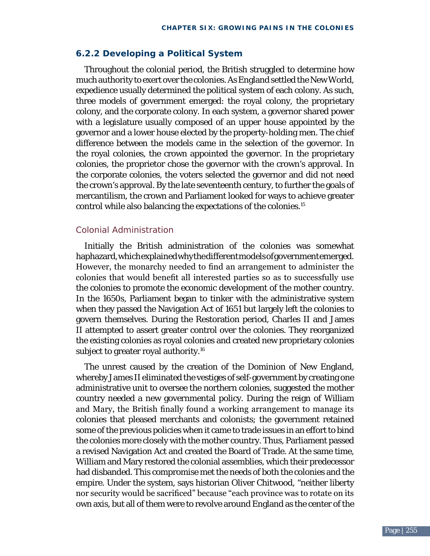### **6.2.2 Developing a Political System**

Throughout the colonial period, the British struggled to determine how much authority to exert over the colonies. As England settled the New World, expedience usually determined the political system of each colony. As such, three models of government emerged: the royal colony, the proprietary colony, and the corporate colony. In each system, a governor shared power with a legislature usually composed of an upper house appointed by the governor and a lower house elected by the property-holding men. The chief difference between the models came in the selection of the governor. In the royal colonies, the crown appointed the governor. In the proprietary colonies, the proprietor chose the governor with the crown's approval. In the corporate colonies, the voters selected the governor and did not need the crown's approval. By the late seventeenth century, to further the goals of mercantilism, the crown and Parliament looked for ways to achieve greater control while also balancing the expectations of the colonies.15

### Colonial Administration

Initially the British administration of the colonies was somewhat haphazard, which explained why the different models of government emerged. However, the monarchy needed to find an arrangement to administer the colonies that would benefit all interested parties so as to successfully use the colonies to promote the economic development of the mother country. In the 1650s, Parliament began to tinker with the administrative system when they passed the Navigation Act of 1651 but largely left the colonies to govern themselves. During the Restoration period, Charles II and James II attempted to assert greater control over the colonies. They reorganized the existing colonies as royal colonies and created new proprietary colonies subject to greater royal authority.<sup>16</sup>

The unrest caused by the creation of the Dominion of New England, whereby James II eliminated the vestiges of self-government by creating one administrative unit to oversee the northern colonies, suggested the mother country needed a new governmental policy. During the reign of William and Mary, the British finally found a working arrangement to manage its colonies that pleased merchants and colonists; the government retained some of the previous policies when it came to trade issues in an effort to bind the colonies more closely with the mother country. Thus, Parliament passed a revised Navigation Act and created the Board of Trade. At the same time, William and Mary restored the colonial assemblies, which their predecessor had disbanded. This compromise met the needs of both the colonies and the empire. Under the system, says historian Oliver Chitwood, "neither liberty nor security would be sacrificed" because "each province was to rotate on its own axis, but all of them were to revolve around England as the center of the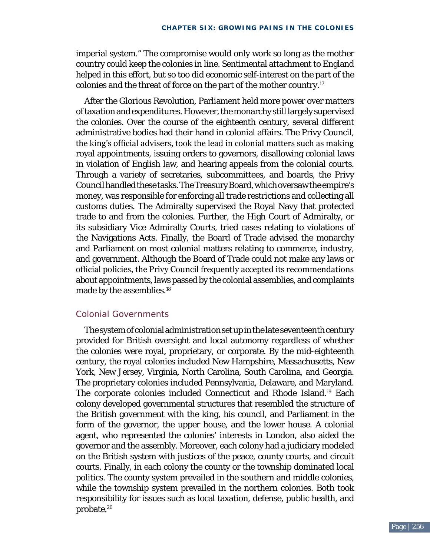imperial system." The compromise would only work so long as the mother country could keep the colonies in line. Sentimental attachment to England helped in this effort, but so too did economic self-interest on the part of the colonies and the threat of force on the part of the mother country.17

After the Glorious Revolution, Parliament held more power over matters of taxation and expenditures. However, the monarchy still largely supervised the colonies. Over the course of the eighteenth century, several different administrative bodies had their hand in colonial affairs. The Privy Council, the king's official advisers, took the lead in colonial matters such as making royal appointments, issuing orders to governors, disallowing colonial laws in violation of English law, and hearing appeals from the colonial courts. Through a variety of secretaries, subcommittees, and boards, the Privy Council handled these tasks. The Treasury Board, which oversaw the empire's money, was responsible for enforcing all trade restrictions and collecting all customs duties. The Admiralty supervised the Royal Navy that protected trade to and from the colonies. Further, the High Court of Admiralty, or its subsidiary Vice Admiralty Courts, tried cases relating to violations of the Navigations Acts. Finally, the Board of Trade advised the monarchy and Parliament on most colonial matters relating to commerce, industry, and government. Although the Board of Trade could not make any laws or official policies, the Privy Council frequently accepted its recommendations about appointments, laws passed by the colonial assemblies, and complaints made by the assemblies.<sup>18</sup>

### Colonial Governments

The system of colonial administration set up in the late seventeenth century provided for British oversight and local autonomy regardless of whether the colonies were royal, proprietary, or corporate. By the mid-eighteenth century, the royal colonies included New Hampshire, Massachusetts, New York, New Jersey, Virginia, North Carolina, South Carolina, and Georgia. The proprietary colonies included Pennsylvania, Delaware, and Maryland. The corporate colonies included Connecticut and Rhode Island.19 Each colony developed governmental structures that resembled the structure of the British government with the king, his council, and Parliament in the form of the governor, the upper house, and the lower house. A colonial agent, who represented the colonies' interests in London, also aided the governor and the assembly. Moreover, each colony had a judiciary modeled on the British system with justices of the peace, county courts, and circuit courts. Finally, in each colony the county or the township dominated local politics. The county system prevailed in the southern and middle colonies, while the township system prevailed in the northern colonies. Both took responsibility for issues such as local taxation, defense, public health, and probate.20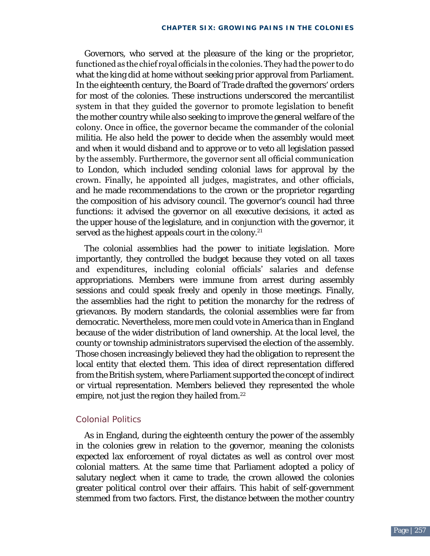Governors, who served at the pleasure of the king or the proprietor, functioned as the chief royal officials in the colonies. They had the power to do what the king did at home without seeking prior approval from Parliament. In the eighteenth century, the Board of Trade drafted the governors' orders for most of the colonies. These instructions underscored the mercantilist system in that they guided the governor to promote legislation to benefit the mother country while also seeking to improve the general welfare of the colony. Once in office, the governor became the commander of the colonial militia. He also held the power to decide when the assembly would meet and when it would disband and to approve or to veto all legislation passed by the assembly. Furthermore, the governor sent all official communication to London, which included sending colonial laws for approval by the crown. Finally, he appointed all judges, magistrates, and other officials, and he made recommendations to the crown or the proprietor regarding the composition of his advisory council. The governor's council had three functions: it advised the governor on all executive decisions, it acted as the upper house of the legislature, and in conjunction with the governor, it served as the highest appeals court in the colony.<sup>21</sup>

The colonial assemblies had the power to initiate legislation. More importantly, they controlled the budget because they voted on all taxes and expenditures, including colonial officials' salaries and defense appropriations. Members were immune from arrest during assembly sessions and could speak freely and openly in those meetings. Finally, the assemblies had the right to petition the monarchy for the redress of grievances. By modern standards, the colonial assemblies were far from democratic. Nevertheless, more men could vote in America than in England because of the wider distribution of land ownership. At the local level, the county or township administrators supervised the election of the assembly. Those chosen increasingly believed they had the obligation to represent the local entity that elected them. This idea of direct representation differed from the British system, where Parliament supported the concept of indirect or virtual representation. Members believed they represented the whole empire, not just the region they hailed from.<sup>22</sup>

### Colonial Politics

As in England, during the eighteenth century the power of the assembly in the colonies grew in relation to the governor, meaning the colonists expected lax enforcement of royal dictates as well as control over most colonial matters. At the same time that Parliament adopted a policy of salutary neglect when it came to trade, the crown allowed the colonies greater political control over their affairs. This habit of self-government stemmed from two factors. First, the distance between the mother country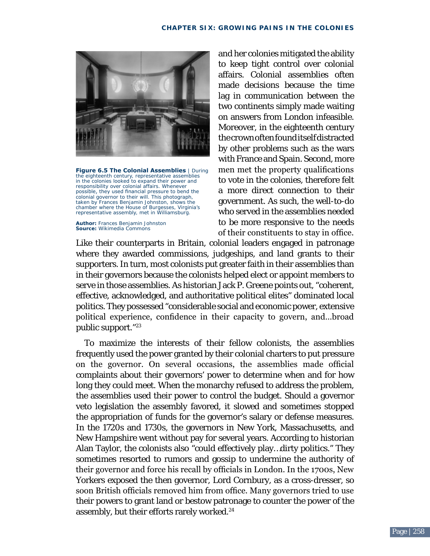

**Figure 6.5 The Colonial Assemblies** | During the eighteenth century, representative assemblies in the colonies looked to expand their power and responsibility over colonial affairs. Whenever possible, they used financial pressure to bend the colonial governor to their will. This photograph, taken by Frances Benjamin Johnston, shows the chamber where the House of Burgesses, Virginia's representative assembly, met in Williamsburg.

**Author:** Frances Benjamin Johnston **Source:** Wikimedia Commons

and her colonies mitigated the ability to keep tight control over colonial affairs. Colonial assemblies often made decisions because the time lag in communication between the two continents simply made waiting on answers from London infeasible. Moreover, in the eighteenth century the crown often found itself distracted by other problems such as the wars with France and Spain. Second, more men met the property qualifications to vote in the colonies, therefore felt a more direct connection to their government. As such, the well-to-do who served in the assemblies needed to be more responsive to the needs of their constituents to stay in office.

Like their counterparts in Britain, colonial leaders engaged in patronage where they awarded commissions, judgeships, and land grants to their supporters. In turn, most colonists put greater faith in their assemblies than in their governors because the colonists helped elect or appoint members to serve in those assemblies. As historian Jack P. Greene points out, "coherent, effective, acknowledged, and authoritative political elites" dominated local politics. They possessed "considerable social and economic power, extensive political experience, confidence in their capacity to govern, and…broad public support."23

To maximize the interests of their fellow colonists, the assemblies frequently used the power granted by their colonial charters to put pressure on the governor. On several occasions, the assemblies made official complaints about their governors' power to determine when and for how long they could meet. When the monarchy refused to address the problem, the assemblies used their power to control the budget. Should a governor veto legislation the assembly favored, it slowed and sometimes stopped the appropriation of funds for the governor's salary or defense measures. In the 1720s and 1730s, the governors in New York, Massachusetts, and New Hampshire went without pay for several years. According to historian Alan Taylor, the colonists also "could effectively play…dirty politics." They sometimes resorted to rumors and gossip to undermine the authority of their governor and force his recall by officials in London. In the 1700s, New Yorkers exposed the then governor, Lord Cornbury, as a cross-dresser, so soon British officials removed him from office. Many governors tried to use their powers to grant land or bestow patronage to counter the power of the assembly, but their efforts rarely worked.<sup>24</sup>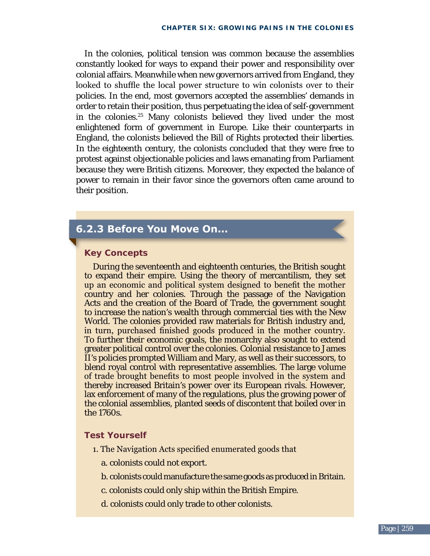In the colonies, political tension was common because the assemblies constantly looked for ways to expand their power and responsibility over colonial affairs. Meanwhile when new governors arrived from England, they looked to shuffle the local power structure to win colonists over to their policies. In the end, most governors accepted the assemblies' demands in order to retain their position, thus perpetuating the idea of self-government in the colonies.<sup>25</sup> Many colonists believed they lived under the most enlightened form of government in Europe. Like their counterparts in England, the colonists believed the Bill of Rights protected their liberties. In the eighteenth century, the colonists concluded that they were free to protest against objectionable policies and laws emanating from Parliament because they were British citizens. Moreover, they expected the balance of power to remain in their favor since the governors often came around to their position.

# **6.2.3 Before You Move On...**

### **key Concepts**

During the seventeenth and eighteenth centuries, the British sought to expand their empire. Using the theory of mercantilism, they set up an economic and political system designed to benefit the mother country and her colonies. Through the passage of the Navigation Acts and the creation of the Board of Trade, the government sought to increase the nation's wealth through commercial ties with the New World. The colonies provided raw materials for British industry and, in turn, purchased finished goods produced in the mother country. To further their economic goals, the monarchy also sought to extend greater political control over the colonies. Colonial resistance to James II's policies prompted William and Mary, as well as their successors, to blend royal control with representative assemblies. The large volume of trade brought benefits to most people involved in the system and thereby increased Britain's power over its European rivals. However, lax enforcement of many of the regulations, plus the growing power of the colonial assemblies, planted seeds of discontent that boiled over in the 1760s.

### **Test Yourself**

- 1. The Navigation Acts specified enumerated goods that
	- a. colonists could not export.
	- b. colonists could manufacture the same goods as produced in Britain.
	- c. colonists could only ship within the British Empire.
	- d. colonists could only trade to other colonists.

 $\overline{\phantom{a}}$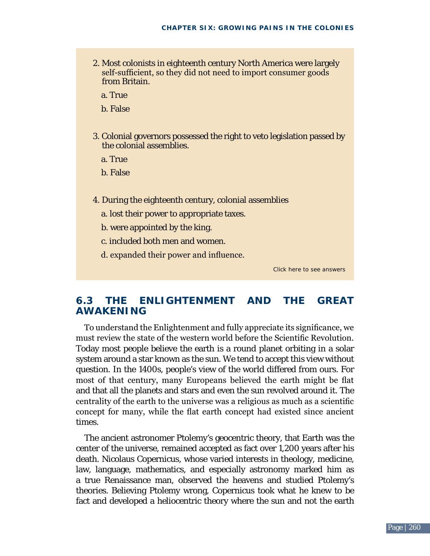- 2. Most colonists in eighteenth century North America were largely self-sufficient, so they did not need to import consumer goods from Britain.
	- a. True
	- b. False
- 3. Colonial governors possessed the right to veto legislation passed by the colonial assemblies.
	- a. True
	- b. False
- 4. During the eighteenth century, colonial assemblies
	- a. lost their power to appropriate taxes.
	- b. were appointed by the king.
	- c. included both men and women.
	- d. expanded their power and influence.

Click here to see answers

### **6.3 thE EnlIGhtEnmEnt anD thE GrEat aWakEnInG**

To understand the Enlightenment and fully appreciate its significance, we must review the state of the western world before the Scientific Revolution. Today most people believe the earth is a round planet orbiting in a solar system around a star known as the sun. We tend to accept this view without question. In the 1400s, people's view of the world differed from ours. For most of that century, many Europeans believed the earth might be flat and that all the planets and stars and even the sun revolved around it. The centrality of the earth to the universe was a religious as much as a scientific concept for many, while the flat earth concept had existed since ancient times.

The ancient astronomer Ptolemy's geocentric theory, that Earth was the center of the universe, remained accepted as fact over 1,200 years after his death. Nicolaus Copernicus, whose varied interests in theology, medicine, law, language, mathematics, and especially astronomy marked him as a true Renaissance man, observed the heavens and studied Ptolemy's theories. Believing Ptolemy wrong, Copernicus took what he knew to be fact and developed a heliocentric theory where the sun and not the earth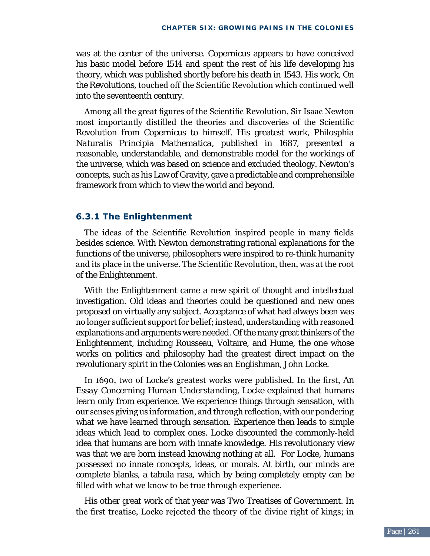was at the center of the universe. Copernicus appears to have conceived his basic model before 1514 and spent the rest of his life developing his theory, which was published shortly before his death in 1543. His work, *On the Revolutions,* touched off the Scientific Revolution which continued well into the seventeenth century.

Among all the great figures of the Scientific Revolution, Sir Isaac Newton most importantly distilled the theories and discoveries of the Scientific Revolution from Copernicus to himself. His greatest work, *Philosphia Naturalis Principia Mathematica,* published in 1687, presented a reasonable, understandable, and demonstrable model for the workings of the universe, which was based on science and excluded theology. Newton's concepts, such as his Law of Gravity, gave a predictable and comprehensible framework from which to view the world and beyond.

### **6.3.1 The Enlightenment**

The ideas of the Scientific Revolution inspired people in many fields besides science. With Newton demonstrating rational explanations for the functions of the universe, philosophers were inspired to re-think humanity and its place in the universe. The Scientific Revolution, then, was at the root of the Enlightenment.

With the Enlightenment came a new spirit of thought and intellectual investigation. Old ideas and theories could be questioned and new ones proposed on virtually any subject. Acceptance of what had always been was no longer sufficient support for belief; instead, understanding with reasoned explanations and arguments were needed. Of the many great thinkers of the Enlightenment, including Rousseau, Voltaire, and Hume, the one whose works on politics and philosophy had the greatest direct impact on the revolutionary spirit in the Colonies was an Englishman, John Locke.

In 1690, two of Locke's greatest works were published. In the first, *An Essay Concerning Human Understanding*, Locke explained that humans learn only from experience. We experience things through sensation, with our senses giving us information, and through reflection, with our pondering what we have learned through sensation. Experience then leads to simple ideas which lead to complex ones. Locke discounted the commonly-held idea that humans are born with innate knowledge. His revolutionary view was that we are born instead knowing nothing at all. For Locke, humans possessed no innate concepts, ideas, or morals. At birth, our minds are complete blanks, a tabula rasa, which by being completely empty can be filled with what we know to be true through experience.

His other great work of that year was *Two Treatises of Government.* In the first treatise, Locke rejected the theory of the divine right of kings; in

 $\overline{\phantom{a}}$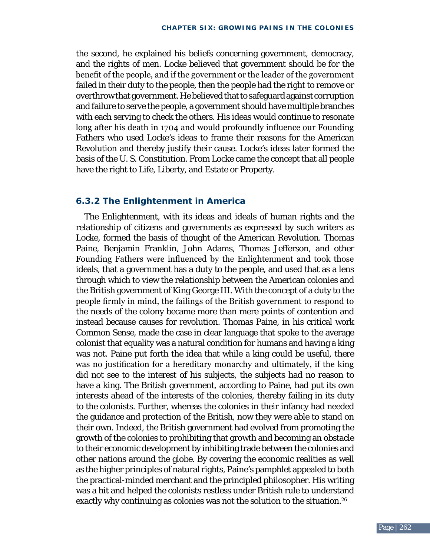the second, he explained his beliefs concerning government, democracy, and the rights of men. Locke believed that government should be for the benefit of the people, and if the government or the leader of the government failed in their duty to the people, then the people had the right to remove or overthrow that government. He believed that to safeguard against corruption and failure to serve the people, a government should have multiple branches with each serving to check the others. His ideas would continue to resonate long after his death in 1704 and would profoundly influence our Founding Fathers who used Locke's ideas to frame their reasons for the American Revolution and thereby justify their cause. Locke's ideas later formed the basis of the U. S. Constitution. From Locke came the concept that all people have the right to Life, Liberty, and Estate or Property.

### **6.3.2 The Enlightenment in America**

The Enlightenment, with its ideas and ideals of human rights and the relationship of citizens and governments as expressed by such writers as Locke, formed the basis of thought of the American Revolution. Thomas Paine, Benjamin Franklin, John Adams, Thomas Jefferson, and other Founding Fathers were influenced by the Enlightenment and took those ideals, that a government has a duty to the people, and used that as a lens through which to view the relationship between the American colonies and the British government of King George III. With the concept of a duty to the people firmly in mind, the failings of the British government to respond to the needs of the colony became more than mere points of contention and instead because causes for revolution. Thomas Paine, in his critical work *Common Sense,* made the case in clear language that spoke to the average colonist that equality was a natural condition for humans and having a king was not. Paine put forth the idea that while a king could be useful, there was no justification for a hereditary monarchy and ultimately, if the king did not see to the interest of his subjects, the subjects had no reason to have a king. The British government, according to Paine, had put its own interests ahead of the interests of the colonies, thereby failing in its duty to the colonists. Further, whereas the colonies in their infancy had needed the guidance and protection of the British, now they were able to stand on their own. Indeed, the British government had evolved from promoting the growth of the colonies to prohibiting that growth and becoming an obstacle to their economic development by inhibiting trade between the colonies and other nations around the globe. By covering the economic realities as well as the higher principles of natural rights, Paine's pamphlet appealed to both the practical-minded merchant and the principled philosopher. His writing was a hit and helped the colonists restless under British rule to understand exactly why continuing as colonies was not the solution to the situation.<sup>26</sup>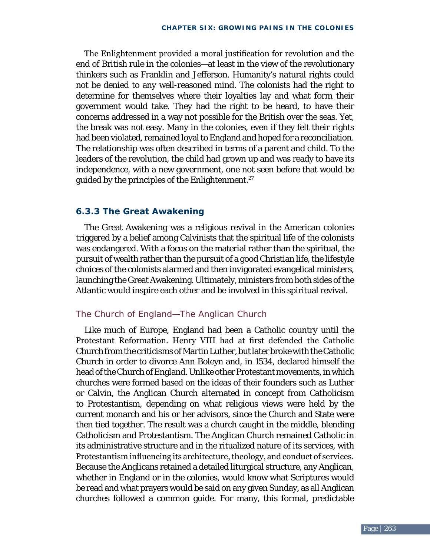The Enlightenment provided a moral justification for revolution and the end of British rule in the colonies—at least in the view of the revolutionary thinkers such as Franklin and Jefferson. Humanity's natural rights could not be denied to any well-reasoned mind. The colonists had the right to determine for themselves where their loyalties lay and what form their government would take. They had the right to be heard, to have their concerns addressed in a way not possible for the British over the seas. Yet, the break was not easy. Many in the colonies, even if they felt their rights had been violated, remained loyal to England and hoped for a reconciliation. The relationship was often described in terms of a parent and child. To the leaders of the revolution, the child had grown up and was ready to have its independence, with a new government, one not seen before that would be guided by the principles of the Enlightenment.27

### **6.3.3 The Great Awakening**

The Great Awakening was a religious revival in the American colonies triggered by a belief among Calvinists that the spiritual life of the colonists was endangered. With a focus on the material rather than the spiritual, the pursuit of wealth rather than the pursuit of a good Christian life, the lifestyle choices of the colonists alarmed and then invigorated evangelical ministers, launching the Great Awakening. Ultimately, ministers from both sides of the Atlantic would inspire each other and be involved in this spiritual revival.

### The Church of England—The Anglican Church

Like much of Europe, England had been a Catholic country until the Protestant Reformation. Henry VIII had at first defended the Catholic Church from the criticisms of Martin Luther, but later broke with the Catholic Church in order to divorce Ann Boleyn and, in 1534, declared himself the head of the Church of England. Unlike other Protestant movements, in which churches were formed based on the ideas of their founders such as Luther or Calvin, the Anglican Church alternated in concept from Catholicism to Protestantism, depending on what religious views were held by the current monarch and his or her advisors, since the Church and State were then tied together. The result was a church caught in the middle, blending Catholicism and Protestantism. The Anglican Church remained Catholic in its administrative structure and in the ritualized nature of its services, with Protestantism influencing its architecture, theology, and conduct of services. Because the Anglicans retained a detailed liturgical structure, any Anglican, whether in England or in the colonies, would know what Scriptures would be read and what prayers would be said on any given Sunday, as all Anglican churches followed a common guide. For many, this formal, predictable

 $\overline{2}$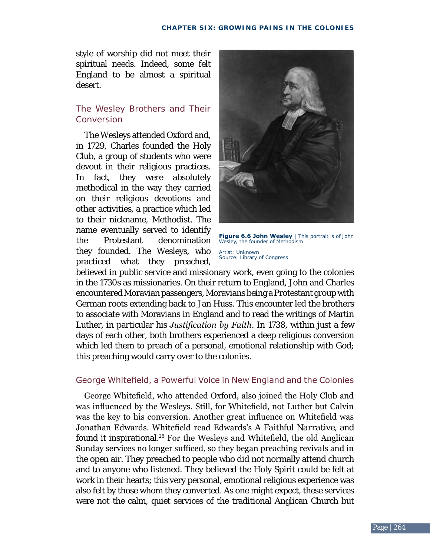style of worship did not meet their spiritual needs. Indeed, some felt England to be almost a spiritual desert.

### The Wesley Brothers and Their Conversion

The Wesleys attended Oxford and, in 1729, Charles founded the Holy Club, a group of students who were devout in their religious practices. In fact, they were absolutely methodical in the way they carried on their religious devotions and other activities, a practice which led to their nickname, Methodist. The name eventually served to identify the Protestant denomination they founded. The Wesleys, who practiced what they preached,



**Figure 6.6 John Wesley** | This portrait is of John Wesley, the founder of Methodism Artist: Unknown Source: Library of Congress

believed in public service and missionary work, even going to the colonies in the 1730s as missionaries. On their return to England, John and Charles encountered Moravian passengers, Moravians being a Protestant group with German roots extending back to Jan Huss. This encounter led the brothers to associate with Moravians in England and to read the writings of Martin Luther, in particular his *Justification by Faith*. In 1738, within just a few days of each other, both brothers experienced a deep religious conversion which led them to preach of a personal, emotional relationship with God; this preaching would carry over to the colonies.

### George Whitefield, a Powerful Voice in New England and the Colonies

George Whitefield, who attended Oxford, also joined the Holy Club and was influenced by the Wesleys. Still, for Whitefield, not Luther but Calvin was the key to his conversion. Another great influence on Whitefield was Jonathan Edwards. Whitefield read Edwards's *A Faithful Narrative,* and found it inspirational.<sup>28</sup> For the Wesleys and Whitefield, the old Anglican Sunday services no longer sufficed, so they began preaching revivals and in the open air. They preached to people who did not normally attend church and to anyone who listened. They believed the Holy Spirit could be felt at work in their hearts; this very personal, emotional religious experience was also felt by those whom they converted. As one might expect, these services were not the calm, quiet services of the traditional Anglican Church but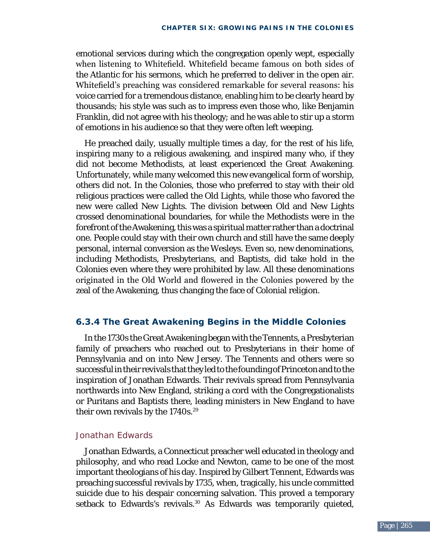emotional services during which the congregation openly wept, especially when listening to Whitefield. Whitefield became famous on both sides of the Atlantic for his sermons, which he preferred to deliver in the open air. Whitefield's preaching was considered remarkable for several reasons: his voice carried for a tremendous distance, enabling him to be clearly heard by thousands; his style was such as to impress even those who, like Benjamin Franklin, did not agree with his theology; and he was able to stir up a storm of emotions in his audience so that they were often left weeping.

He preached daily, usually multiple times a day, for the rest of his life, inspiring many to a religious awakening, and inspired many who, if they did not become Methodists, at least experienced the Great Awakening. Unfortunately, while many welcomed this new evangelical form of worship, others did not. In the Colonies, those who preferred to stay with their old religious practices were called the Old Lights, while those who favored the new were called New Lights. The division between Old and New Lights crossed denominational boundaries, for while the Methodists were in the forefront of the Awakening, this was a spiritual matter rather than a doctrinal one. People could stay with their own church and still have the same deeply personal, internal conversion as the Wesleys. Even so, new denominations, including Methodists, Presbyterians, and Baptists, did take hold in the Colonies even where they were prohibited by law. All these denominations originated in the Old World and flowered in the Colonies powered by the zeal of the Awakening, thus changing the face of Colonial religion.

### **6.3.4 The Great Awakening Begins in the Middle Colonies**

In the 1730s the Great Awakening began with the Tennents, a Presbyterian family of preachers who reached out to Presbyterians in their home of Pennsylvania and on into New Jersey. The Tennents and others were so successful in their revivals that they led to the founding of Princeton and to the inspiration of Jonathan Edwards. Their revivals spread from Pennsylvania northwards into New England, striking a cord with the Congregationalists or Puritans and Baptists there, leading ministers in New England to have their own revivals by the 1740s.<sup>29</sup>

#### Jonathan Edwards

Jonathan Edwards, a Connecticut preacher well educated in theology and philosophy, and who read Locke and Newton, came to be one of the most important theologians of his day. Inspired by Gilbert Tennent, Edwards was preaching successful revivals by 1735, when, tragically, his uncle committed suicide due to his despair concerning salvation. This proved a temporary setback to Edwards's revivals.<sup>30</sup> As Edwards was temporarily quieted,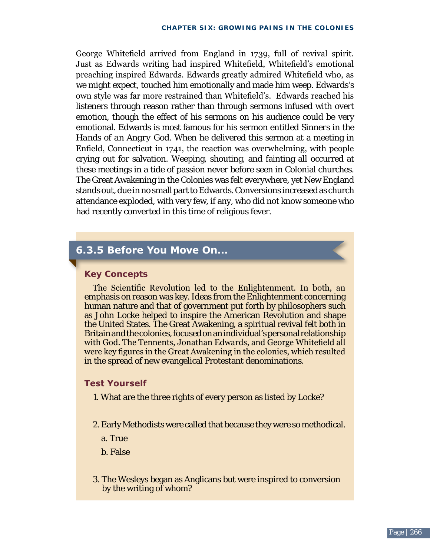George Whitefield arrived from England in 1739, full of revival spirit. Just as Edwards writing had inspired Whitefield, Whitefield's emotional preaching inspired Edwards. Edwards greatly admired Whitefield who, as we might expect, touched him emotionally and made him weep. Edwards's own style was far more restrained than Whitefield's. Edwards reached his listeners through reason rather than through sermons infused with overt emotion, though the effect of his sermons on his audience could be very emotional. Edwards is most famous for his sermon entitled *Sinners in the Hands of an Angry God*. When he delivered this sermon at a meeting in Enfield, Connecticut in 1741, the reaction was overwhelming, with people crying out for salvation. Weeping, shouting, and fainting all occurred at these meetings in a tide of passion never before seen in Colonial churches. The Great Awakening in the Colonies was felt everywhere, yet New England stands out, due in no small part to Edwards. Conversions increased as church attendance exploded, with very few, if any, who did not know someone who had recently converted in this time of religious fever.

### **6.3.5 Before You Move On...**

### **key Concepts**

The Scientific Revolution led to the Enlightenment. In both, an emphasis on reason was key. Ideas from the Enlightenment concerning human nature and that of government put forth by philosophers such as John Locke helped to inspire the American Revolution and shape the United States. The Great Awakening, a spiritual revival felt both in Britain and the colonies, focused on an individual's personal relationship with God. The Tennents, Jonathan Edwards, and George Whitefield all were key figures in the Great Awakening in the colonies, which resulted in the spread of new evangelical Protestant denominations.

#### **Test Yourself**

- 1. What are the three rights of every person as listed by Locke?
- 2. Early Methodists were called that because they were so methodical.
	- a. True
	- b. False
- 3. The Wesleys began as Anglicans but were inspired to conversion by the writing of whom?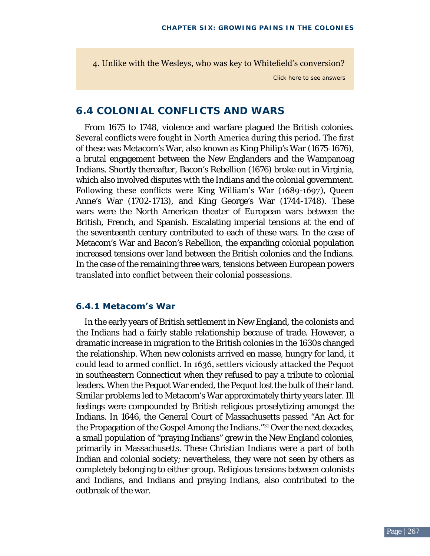4. Unlike with the Wesleys, who was key to Whitefield's conversion?

Click here to see answers

### **6.4 COlOnIal COnflICtS anD WarS**

From 1675 to 1748, violence and warfare plagued the British colonies. Several conflicts were fought in North America during this period. The first of these was Metacom's War, also known as King Philip's War (1675-1676), a brutal engagement between the New Englanders and the Wampanoag Indians. Shortly thereafter, Bacon's Rebellion (1676) broke out in Virginia, which also involved disputes with the Indians and the colonial government. Following these conflicts were King William's War (1689-1697), Queen Anne's War (1702-1713), and King George's War (1744-1748). These wars were the North American theater of European wars between the British, French, and Spanish. Escalating imperial tensions at the end of the seventeenth century contributed to each of these wars. In the case of Metacom's War and Bacon's Rebellion, the expanding colonial population increased tensions over land between the British colonies and the Indians. In the case of the remaining three wars, tensions between European powers translated into conflict between their colonial possessions.

### **6.4.1 Metacom's War**

In the early years of British settlement in New England, the colonists and the Indians had a fairly stable relationship because of trade. However, a dramatic increase in migration to the British colonies in the 1630s changed the relationship. When new colonists arrived en masse, hungry for land, it could lead to armed conflict. In 1636, settlers viciously attacked the Pequot in southeastern Connecticut when they refused to pay a tribute to colonial leaders. When the Pequot War ended, the Pequot lost the bulk of their land. Similar problems led to Metacom's War approximately thirty years later. Ill feelings were compounded by British religious proselytizing amongst the Indians. In 1646, the General Court of Massachusetts passed "An Act for the Propagation of the Gospel Among the Indians."31 Over the next decades, a small population of "praying Indians" grew in the New England colonies, primarily in Massachusetts. These Christian Indians were a part of both Indian and colonial society; nevertheless, they were not seen by others as completely belonging to either group. Religious tensions between colonists and Indians, and Indians and praying Indians, also contributed to the outbreak of the war.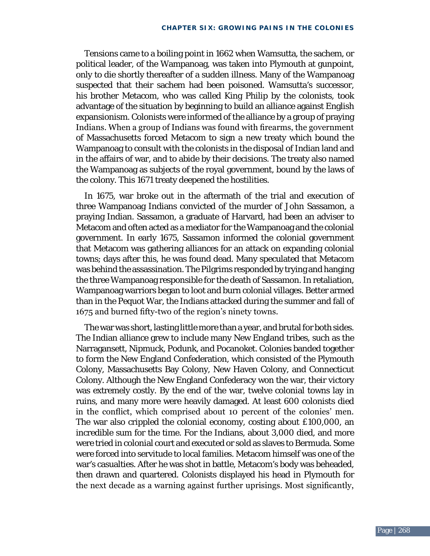Tensions came to a boiling point in 1662 when Wamsutta, the sachem, or political leader, of the Wampanoag, was taken into Plymouth at gunpoint, only to die shortly thereafter of a sudden illness. Many of the Wampanoag suspected that their sachem had been poisoned. Wamsutta's successor, his brother Metacom, who was called King Philip by the colonists, took advantage of the situation by beginning to build an alliance against English expansionism. Colonists were informed of the alliance by a group of praying Indians. When a group of Indians was found with firearms, the government of Massachusetts forced Metacom to sign a new treaty which bound the Wampanoag to consult with the colonists in the disposal of Indian land and in the affairs of war, and to abide by their decisions. The treaty also named the Wampanoag as subjects of the royal government, bound by the laws of the colony. This 1671 treaty deepened the hostilities.

In 1675, war broke out in the aftermath of the trial and execution of three Wampanoag Indians convicted of the murder of John Sassamon, a praying Indian. Sassamon, a graduate of Harvard, had been an adviser to Metacom and often acted as a mediator for the Wampanoag and the colonial government. In early 1675, Sassamon informed the colonial government that Metacom was gathering alliances for an attack on expanding colonial towns; days after this, he was found dead. Many speculated that Metacom was behind the assassination. The Pilgrims responded by trying and hanging the three Wampanoag responsible for the death of Sassamon. In retaliation, Wampanoag warriors began to loot and burn colonial villages. Better armed than in the Pequot War, the Indians attacked during the summer and fall of 1675 and burned fifty-two of the region's ninety towns.

The war was short, lasting little more than a year, and brutal for both sides. The Indian alliance grew to include many New England tribes, such as the Narragansett, Nipmuck, Podunk, and Pocanoket. Colonies banded together to form the New England Confederation, which consisted of the Plymouth Colony, Massachusetts Bay Colony, New Haven Colony, and Connecticut Colony. Although the New England Confederacy won the war, their victory was extremely costly. By the end of the war, twelve colonial towns lay in ruins, and many more were heavily damaged. At least 600 colonists died in the conflict, which comprised about 10 percent of the colonies' men. The war also crippled the colonial economy, costing about £100,000, an incredible sum for the time. For the Indians, about 3,000 died, and more were tried in colonial court and executed or sold as slaves to Bermuda. Some were forced into servitude to local families. Metacom himself was one of the war's casualties. After he was shot in battle, Metacom's body was beheaded, then drawn and quartered. Colonists displayed his head in Plymouth for the next decade as a warning against further uprisings. Most significantly,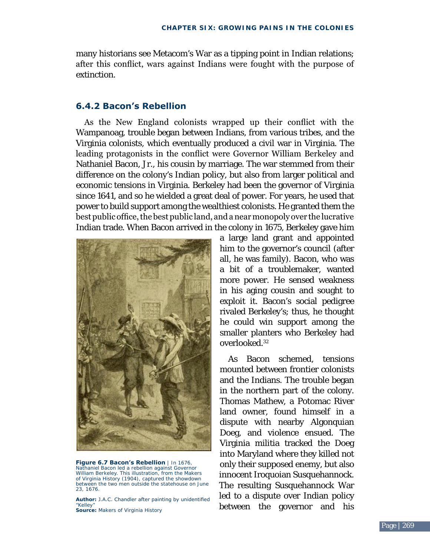many historians see Metacom's War as a tipping point in Indian relations; after this conflict, wars against Indians were fought with the purpose of extinction.

### **6.4.2 Bacon's Rebellion**

 As the New England colonists wrapped up their conflict with the Wampanoag, trouble began between Indians, from various tribes, and the Virginia colonists, which eventually produced a civil war in Virginia. The leading protagonists in the conflict were Governor William Berkeley and Nathaniel Bacon, Jr., his cousin by marriage. The war stemmed from their difference on the colony's Indian policy, but also from larger political and economic tensions in Virginia. Berkeley had been the governor of Virginia since 1641, and so he wielded a great deal of power. For years, he used that power to build support among the wealthiest colonists. He granted them the best public office, the best public land, and a near monopoly over the lucrative Indian trade. When Bacon arrived in the colony in 1675, Berkeley gave him



**Figure 6.7 Bacon's Rebellion** | In 1676, Nathaniel Bacon led a rebellion against Governor William Berkeley. This illustration, from the *Makers of Virginia History* (1904), captured the showdown between the two men outside the statehouse on June 23, 1676.

**Author:** J.A.C. Chandler after painting by unidentified "Kelley" **Source:** *[Makers of Virginia History](http://archive.org/stream/makersofvirginia01chan%23page/104/mode/2up)* 

a large land grant and appointed him to the governor's council (after all, he was family). Bacon, who was a bit of a troublemaker, wanted more power. He sensed weakness in his aging cousin and sought to exploit it. Bacon's social pedigree rivaled Berkeley's; thus, he thought he could win support among the smaller planters who Berkeley had overlooked.32

As Bacon schemed, tensions mounted between frontier colonists and the Indians. The trouble began in the northern part of the colony. Thomas Mathew, a Potomac River land owner, found himself in a dispute with nearby Algonquian Doeg, and violence ensued. The Virginia militia tracked the Doeg into Maryland where they killed not only their supposed enemy, but also innocent Iroquoian Susquehannock. The resulting Susquehannock War led to a dispute over Indian policy between the governor and his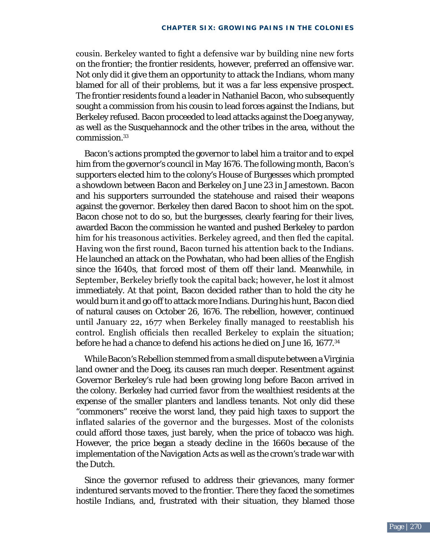cousin. Berkeley wanted to fight a defensive war by building nine new forts on the frontier; the frontier residents, however, preferred an offensive war. Not only did it give them an opportunity to attack the Indians, whom many blamed for all of their problems, but it was a far less expensive prospect. The frontier residents found a leader in Nathaniel Bacon, who subsequently sought a commission from his cousin to lead forces against the Indians, but Berkeley refused. Bacon proceeded to lead attacks against the Doeg anyway, as well as the Susquehannock and the other tribes in the area, without the commission.33

Bacon's actions prompted the governor to label him a traitor and to expel him from the governor's council in May 1676. The following month, Bacon's supporters elected him to the colony's House of Burgesses which prompted a showdown between Bacon and Berkeley on June 23 in Jamestown. Bacon and his supporters surrounded the statehouse and raised their weapons against the governor. Berkeley then dared Bacon to shoot him on the spot. Bacon chose not to do so, but the burgesses, clearly fearing for their lives, awarded Bacon the commission he wanted and pushed Berkeley to pardon him for his treasonous activities. Berkeley agreed, and then fled the capital. Having won the first round, Bacon turned his attention back to the Indians. He launched an attack on the Powhatan, who had been allies of the English since the 1640s, that forced most of them off their land. Meanwhile, in September, Berkeley briefly took the capital back; however, he lost it almost immediately. At that point, Bacon decided rather than to hold the city he would burn it and go off to attack more Indians. During his hunt, Bacon died of natural causes on October 26, 1676. The rebellion, however, continued until January 22, 1677 when Berkeley finally managed to reestablish his control. English officials then recalled Berkeley to explain the situation; before he had a chance to defend his actions he died on June 16, 1677.<sup>34</sup>

While Bacon's Rebellion stemmed from a small dispute between a Virginia land owner and the Doeg, its causes ran much deeper. Resentment against Governor Berkeley's rule had been growing long before Bacon arrived in the colony. Berkeley had curried favor from the wealthiest residents at the expense of the smaller planters and landless tenants. Not only did these "commoners" receive the worst land, they paid high taxes to support the inflated salaries of the governor and the burgesses. Most of the colonists could afford those taxes, just barely, when the price of tobacco was high. However, the price began a steady decline in the 1660s because of the implementation of the Navigation Acts as well as the crown's trade war with the Dutch.

Since the governor refused to address their grievances, many former indentured servants moved to the frontier. There they faced the sometimes hostile Indians, and, frustrated with their situation, they blamed those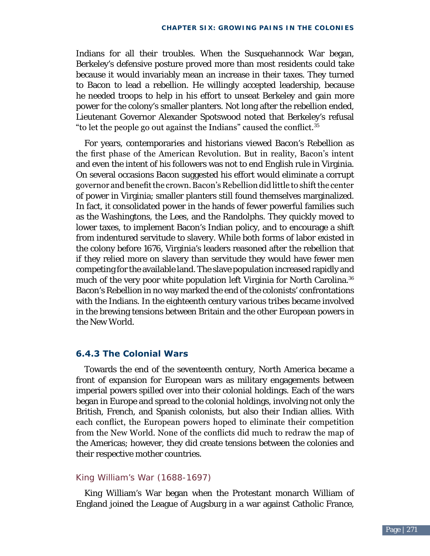Indians for all their troubles. When the Susquehannock War began, Berkeley's defensive posture proved more than most residents could take because it would invariably mean an increase in their taxes. They turned to Bacon to lead a rebellion. He willingly accepted leadership, because he needed troops to help in his effort to unseat Berkeley and gain more power for the colony's smaller planters. Not long after the rebellion ended, Lieutenant Governor Alexander Spotswood noted that Berkeley's refusal "to let the people go out against the Indians" caused the conflict.35

For years, contemporaries and historians viewed Bacon's Rebellion as the first phase of the American Revolution. But in reality, Bacon's intent and even the intent of his followers was not to end English rule in Virginia. On several occasions Bacon suggested his effort would eliminate a corrupt governor and benefit the crown. Bacon's Rebellion did little to shift the center of power in Virginia; smaller planters still found themselves marginalized. In fact, it consolidated power in the hands of fewer powerful families such as the Washingtons, the Lees, and the Randolphs. They quickly moved to lower taxes, to implement Bacon's Indian policy, and to encourage a shift from indentured servitude to slavery. While both forms of labor existed in the colony before 1676, Virginia's leaders reasoned after the rebellion that if they relied more on slavery than servitude they would have fewer men competing for the available land. The slave population increased rapidly and much of the very poor white population left Virginia for North Carolina.<sup>36</sup> Bacon's Rebellion in no way marked the end of the colonists' confrontations with the Indians. In the eighteenth century various tribes became involved in the brewing tensions between Britain and the other European powers in the New World.

### **6.4.3 The Colonial Wars**

Towards the end of the seventeenth century, North America became a front of expansion for European wars as military engagements between imperial powers spilled over into their colonial holdings. Each of the wars began in Europe and spread to the colonial holdings, involving not only the British, French, and Spanish colonists, but also their Indian allies. With each conflict, the European powers hoped to eliminate their competition from the New World. None of the conflicts did much to redraw the map of the Americas; however, they did create tensions between the colonies and their respective mother countries.

### King William's War (1688-1697)

King William's War began when the Protestant monarch William of England joined the League of Augsburg in a war against Catholic France,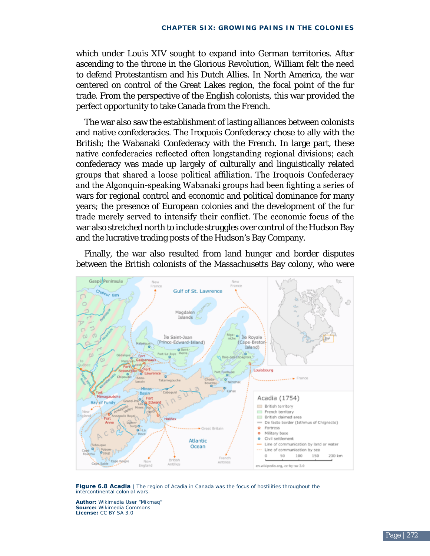which under Louis XIV sought to expand into German territories. After ascending to the throne in the Glorious Revolution, William felt the need to defend Protestantism and his Dutch Allies. In North America, the war centered on control of the Great Lakes region, the focal point of the fur trade. From the perspective of the English colonists, this war provided the perfect opportunity to take Canada from the French.

The war also saw the establishment of lasting alliances between colonists and native confederacies. The Iroquois Confederacy chose to ally with the British; the Wabanaki Confederacy with the French. In large part, these native confederacies reflected often longstanding regional divisions; each confederacy was made up largely of culturally and linguistically related groups that shared a loose political affiliation. The Iroquois Confederacy and the Algonquin-speaking Wabanaki groups had been fighting a series of wars for regional control and economic and political dominance for many years; the presence of European colonies and the development of the fur trade merely served to intensify their conflict. The economic focus of the war also stretched north to include struggles over control of the Hudson Bay and the lucrative trading posts of the Hudson's Bay Company.

Finally, the war also resulted from land hunger and border disputes between the British colonists of the Massachusetts Bay colony, who were



Figure 6.8 Acadia | The region of Acadia in Canada was the focus of hostilities throughout the intercontinental colonial wars.

**Author:** Wikimedia User "Mikmaq" **Source:** Wikimedia Commons **license:** CC BY SA 3.0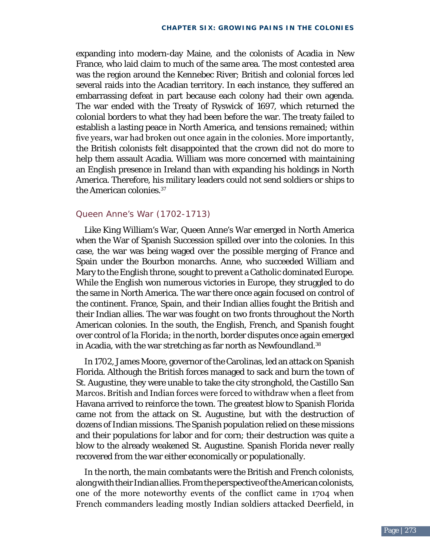the American colonies.<sup>37</sup> expanding into modern-day Maine, and the colonists of Acadia in New France, who laid claim to much of the same area. The most contested area was the region around the Kennebec River; British and colonial forces led several raids into the Acadian territory. In each instance, they suffered an embarrassing defeat in part because each colony had their own agenda. The war ended with the Treaty of Ryswick of 1697, which returned the colonial borders to what they had been before the war. The treaty failed to establish a lasting peace in North America, and tensions remained; within five years, war had broken out once again in the colonies. More importantly, the British colonists felt disappointed that the crown did not do more to help them assault Acadia. William was more concerned with maintaining an English presence in Ireland than with expanding his holdings in North America. Therefore, his military leaders could not send soldiers or ships to

### Queen Anne's War (1702-1713)

Like King William's War, Queen Anne's War emerged in North America when the War of Spanish Succession spilled over into the colonies. In this case, the war was being waged over the possible merging of France and Spain under the Bourbon monarchs. Anne, who succeeded William and Mary to the English throne, sought to prevent a Catholic dominated Europe. While the English won numerous victories in Europe, they struggled to do the same in North America. The war there once again focused on control of the continent. France, Spain, and their Indian allies fought the British and their Indian allies. The war was fought on two fronts throughout the North American colonies. In the south, the English, French, and Spanish fought over control of *la Florida*; in the north, border disputes once again emerged in Acadia, with the war stretching as far north as Newfoundland.<sup>38</sup>

In 1702, James Moore, governor of the Carolinas, led an attack on Spanish Florida. Although the British forces managed to sack and burn the town of St. Augustine, they were unable to take the city stronghold, the Castillo San Marcos. British and Indian forces were forced to withdraw when a fleet from Havana arrived to reinforce the town. The greatest blow to Spanish Florida came not from the attack on St. Augustine, but with the destruction of dozens of Indian missions. The Spanish population relied on these missions and their populations for labor and for corn; their destruction was quite a blow to the already weakened St. Augustine. Spanish Florida never really recovered from the war either economically or populationally.

In the north, the main combatants were the British and French colonists, along with their Indian allies. From the perspective of the American colonists, one of the more noteworthy events of the conflict came in 1704 when French commanders leading mostly Indian soldiers attacked Deerfield, in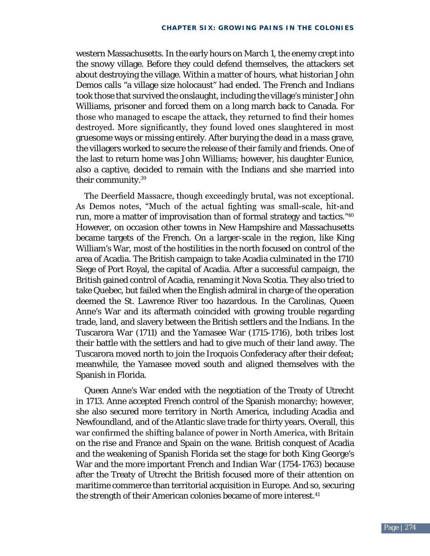western Massachusetts. In the early hours on March 1, the enemy crept into the snowy village. Before they could defend themselves, the attackers set about destroying the village. Within a matter of hours, what historian John Demos calls "a village size holocaust" had ended. The French and Indians took those that survived the onslaught, including the village's minister John Williams, prisoner and forced them on a long march back to Canada. For those who managed to escape the attack, they returned to find their homes destroyed. More significantly, they found loved ones slaughtered in most gruesome ways or missing entirely. After burying the dead in a mass grave, the villagers worked to secure the release of their family and friends. One of the last to return home was John Williams; however, his daughter Eunice, also a captive, decided to remain with the Indians and she married into their community.39

The Deerfield Massacre, though exceedingly brutal, was not exceptional. As Demos notes, "Much of the actual fighting was small-scale, hit-and run, more a matter of improvisation than of formal strategy and tactics."40 However, on occasion other towns in New Hampshire and Massachusetts became targets of the French. On a larger-scale in the region, like King William's War, most of the hostilities in the north focused on control of the area of Acadia. The British campaign to take Acadia culminated in the 1710 Siege of Port Royal, the capital of Acadia. After a successful campaign, the British gained control of Acadia, renaming it Nova Scotia. They also tried to take Quebec, but failed when the English admiral in charge of the operation deemed the St. Lawrence River too hazardous. In the Carolinas, Queen Anne's War and its aftermath coincided with growing trouble regarding trade, land, and slavery between the British settlers and the Indians. In the Tuscarora War (1711) and the Yamasee War (1715-1716), both tribes lost their battle with the settlers and had to give much of their land away. The Tuscarora moved north to join the Iroquois Confederacy after their defeat; meanwhile, the Yamasee moved south and aligned themselves with the Spanish in Florida.

Queen Anne's War ended with the negotiation of the Treaty of Utrecht in 1713. Anne accepted French control of the Spanish monarchy; however, she also secured more territory in North America, including Acadia and Newfoundland, and of the Atlantic slave trade for thirty years. Overall, this war confirmed the shifting balance of power in North America, with Britain on the rise and France and Spain on the wane. British conquest of Acadia and the weakening of Spanish Florida set the stage for both King George's War and the more important French and Indian War (1754-1763) because after the Treaty of Utrecht the British focused more of their attention on maritime commerce than territorial acquisition in Europe. And so, securing the strength of their American colonies became of more interest.<sup>41</sup>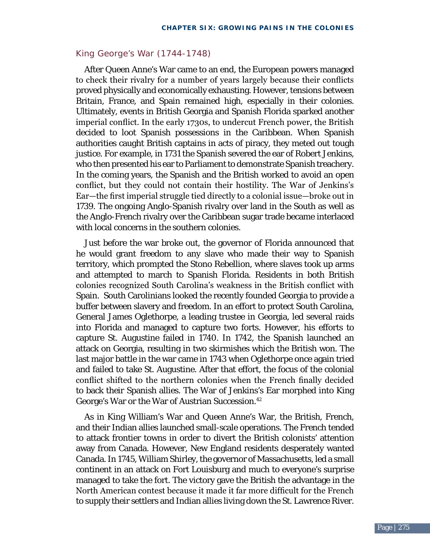### King George's War (1744-1748)

After Queen Anne's War came to an end, the European powers managed to check their rivalry for a number of years largely because their conflicts proved physically and economically exhausting. However, tensions between Britain, France, and Spain remained high, especially in their colonies. Ultimately, events in British Georgia and Spanish Florida sparked another imperial conflict. In the early 1730s, to undercut French power, the British decided to loot Spanish possessions in the Caribbean. When Spanish authorities caught British captains in acts of piracy, they meted out tough justice. For example, in 1731 the Spanish severed the ear of Robert Jenkins, who then presented his ear to Parliament to demonstrate Spanish treachery. In the coming years, the Spanish and the British worked to avoid an open conflict, but they could not contain their hostility. The War of Jenkins's Ear—the first imperial struggle tied directly to a colonial issue—broke out in 1739. The ongoing Anglo-Spanish rivalry over land in the South as well as the Anglo-French rivalry over the Caribbean sugar trade became interlaced with local concerns in the southern colonies.

Just before the war broke out, the governor of Florida announced that he would grant freedom to any slave who made their way to Spanish territory, which prompted the Stono Rebellion, where slaves took up arms and attempted to march to Spanish Florida. Residents in both British colonies recognized South Carolina's weakness in the British conflict with Spain. South Carolinians looked the recently founded Georgia to provide a buffer between slavery and freedom. In an effort to protect South Carolina, General James Oglethorpe, a leading trustee in Georgia, led several raids into Florida and managed to capture two forts. However, his efforts to capture St. Augustine failed in 1740. In 1742, the Spanish launched an attack on Georgia, resulting in two skirmishes which the British won. The last major battle in the war came in 1743 when Oglethorpe once again tried and failed to take St. Augustine. After that effort, the focus of the colonial conflict shifted to the northern colonies when the French finally decided to back their Spanish allies. The War of Jenkins's Ear morphed into King George's War or the War of Austrian Succession.<sup>42</sup>

As in King William's War and Queen Anne's War, the British, French, and their Indian allies launched small-scale operations. The French tended to attack frontier towns in order to divert the British colonists' attention away from Canada. However, New England residents desperately wanted Canada. In 1745, William Shirley, the governor of Massachusetts, led a small continent in an attack on Fort Louisburg and much to everyone's surprise managed to take the fort. The victory gave the British the advantage in the North American contest because it made it far more difficult for the French to supply their settlers and Indian allies living down the St. Lawrence River.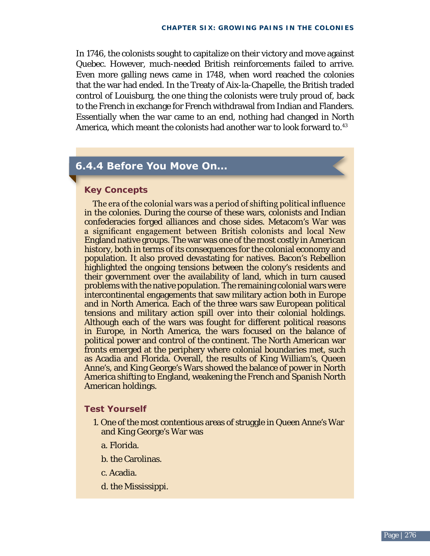In 1746, the colonists sought to capitalize on their victory and move against Quebec. However, much-needed British reinforcements failed to arrive. Even more galling news came in 1748, when word reached the colonies that the war had ended. In the Treaty of Aix-la-Chapelle, the British traded control of Louisburg, the one thing the colonists were truly proud of, back to the French in exchange for French withdrawal from Indian and Flanders. Essentially when the war came to an end, nothing had changed in North America, which meant the colonists had another war to look forward to.<sup>43</sup>

## **6.4.4 Before You Move On...**

### **key Concepts**

The era of the colonial wars was a period of shifting political influence in the colonies. During the course of these wars, colonists and Indian confederacies forged alliances and chose sides. Metacom's War was a significant engagement between British colonists and local New England native groups. The war was one of the most costly in American history, both in terms of its consequences for the colonial economy and population. It also proved devastating for natives. Bacon's Rebellion highlighted the ongoing tensions between the colony's residents and their government over the availability of land, which in turn caused problems with the native population. The remaining colonial wars were intercontinental engagements that saw military action both in Europe and in North America. Each of the three wars saw European political tensions and military action spill over into their colonial holdings. Although each of the wars was fought for different political reasons in Europe, in North America, the wars focused on the balance of political power and control of the continent. The North American war fronts emerged at the periphery where colonial boundaries met, such as Acadia and Florida. Overall, the results of King William's, Queen Anne's, and King George's Wars showed the balance of power in North America shifting to England, weakening the French and Spanish North American holdings.

### **Test Yourself**

- 1. One of the most contentious areas of struggle in Queen Anne's War and King George's War was
	- a. Florida.
	- b. the Carolinas.
	- c. Acadia.
	- d. the Mississippi.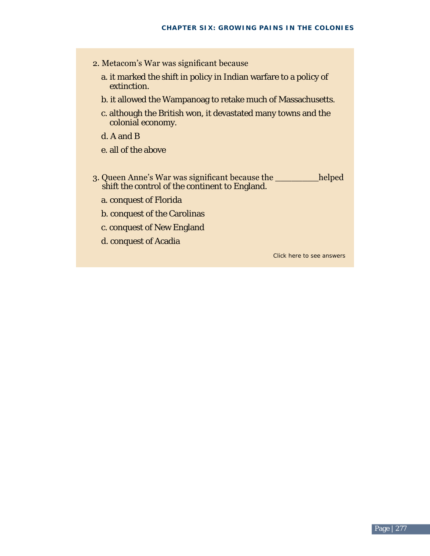- 2. Metacom's War was significant because
	- a. it marked the shift in policy in Indian warfare to a policy of extinction.
	- b. it allowed the Wampanoag to retake much of Massachusetts.
	- c. although the British won, it devastated many towns and the colonial economy.
	- d. A and B
	- e. all of the above
- 3. Queen Anne's War was significant because the \_\_\_\_\_\_\_\_helped shift the control of the continent to England.
	- a. conquest of Florida
	- b. conquest of the Carolinas
	- c. conquest of New England
	- d. conquest of Acadia

Click here to see answers

 $\overline{\phantom{a}}$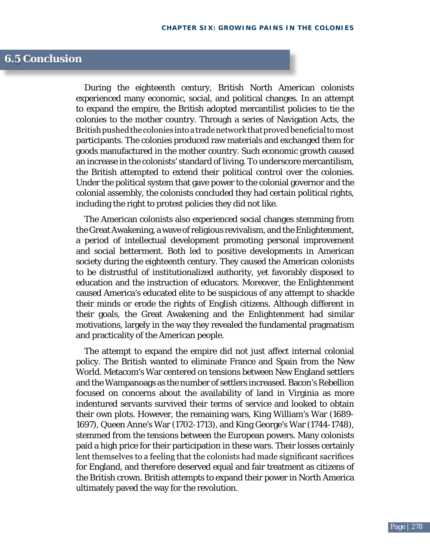## **6.5 conclusion**

During the eighteenth century, British North American colonists experienced many economic, social, and political changes. In an attempt to expand the empire, the British adopted mercantilist policies to tie the colonies to the mother country. Through a series of Navigation Acts, the British pushed the colonies into a trade network that proved beneficial to most participants. The colonies produced raw materials and exchanged them for goods manufactured in the mother country. Such economic growth caused an increase in the colonists' standard of living. To underscore mercantilism, the British attempted to extend their political control over the colonies. Under the political system that gave power to the colonial governor and the colonial assembly, the colonists concluded they had certain political rights, including the right to protest policies they did not like.

The American colonists also experienced social changes stemming from the Great Awakening, a wave of religious revivalism, and the Enlightenment, a period of intellectual development promoting personal improvement and social betterment. Both led to positive developments in American society during the eighteenth century. They caused the American colonists to be distrustful of institutionalized authority, yet favorably disposed to education and the instruction of educators. Moreover, the Enlightenment caused America's educated elite to be suspicious of any attempt to shackle their minds or erode the rights of English citizens. Although different in their goals, the Great Awakening and the Enlightenment had similar motivations, largely in the way they revealed the fundamental pragmatism and practicality of the American people.

The attempt to expand the empire did not just affect internal colonial policy. The British wanted to eliminate France and Spain from the New World. Metacom's War centered on tensions between New England settlers and the Wampanoags as the number of settlers increased. Bacon's Rebellion focused on concerns about the availability of land in Virginia as more indentured servants survived their terms of service and looked to obtain their own plots. However, the remaining wars, King William's War (1689 1697), Queen Anne's War (1702-1713), and King George's War (1744-1748), stemmed from the tensions between the European powers. Many colonists paid a high price for their participation in these wars. Their losses certainly lent themselves to a feeling that the colonists had made significant sacrifices for England, and therefore deserved equal and fair treatment as citizens of the British crown. British attempts to expand their power in North America ultimately paved the way for the revolution.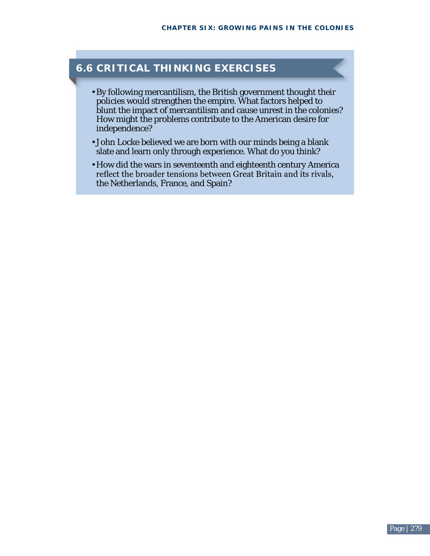# **6.6 CrItICal thInkInG ExErCISES**

- By following mercantilism, the British government thought their policies would strengthen the empire. What factors helped to blunt the impact of mercantilism and cause unrest in the colonies? How might the problems contribute to the American desire for independence?
- John Locke believed we are born with our minds being a blank slate and learn only through experience. What do you think?
- How did the wars in seventeenth and eighteenth century America reflect the broader tensions between Great Britain and its rivals, the Netherlands, France, and Spain?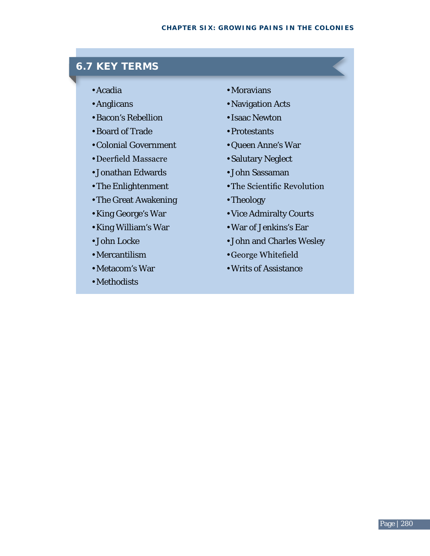# **6.7 kEy tErmS**

- Acadia
- Anglicans •
- Bacon's Rebellion •
- Board of Trade •
- Colonial Government •
- Deerfield Massacre •
- Jonathan Edwards •
- The Enlightenment •
- The Great Awakening •
- King George's War
- King William's War •
- John Locke •
- Mercantilism •
- Metacom's War •
- Methodists •
- Moravians
- Navigation Acts
- Isaac Newton
- Protestants •
- Queen Anne's War •
- Salutary Neglect
- John Sassaman •
- The Scientific Revolution •
- Theology •
- Vice Admiralty Courts •
- War of Jenkins's Ear •
- John and Charles Wesley •
- George Whitefield •
- Writs of Assistance •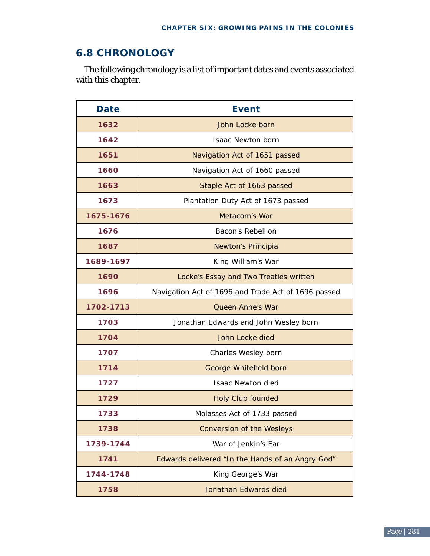# **6.8 ChrOnOlOGy**

The following chronology is a list of important dates and events associated with this chapter.

| <b>Date</b> | <b>Event</b>                                        |
|-------------|-----------------------------------------------------|
| 1632        | John Locke born                                     |
| 1642        | <b>Isaac Newton born</b>                            |
| 1651        | Navigation Act of 1651 passed                       |
| 1660        | Navigation Act of 1660 passed                       |
| 1663        | Staple Act of 1663 passed                           |
| 1673        | Plantation Duty Act of 1673 passed                  |
| 1675-1676   | Metacom's War                                       |
| 1676        | Bacon's Rebellion                                   |
| 1687        | Newton's Principia                                  |
| 1689-1697   | King William's War                                  |
| 1690        | Locke's Essay and Two Treaties written              |
| 1696        | Navigation Act of 1696 and Trade Act of 1696 passed |
| 1702-1713   | <b>Queen Anne's War</b>                             |
| 1703        | Jonathan Edwards and John Wesley born               |
| 1704        | John Locke died                                     |
| 1707        | Charles Wesley born                                 |
| 1714        | George Whitefield born                              |
| 1727        | <b>Isaac Newton died</b>                            |
| 1729        | <b>Holy Club founded</b>                            |
| 1733        | Molasses Act of 1733 passed                         |
| 1738        | <b>Conversion of the Wesleys</b>                    |
| 1739-1744   | War of Jenkin's Ear                                 |
| 1741        | Edwards delivered "In the Hands of an Angry God"    |
| 1744-1748   | King George's War                                   |
| 1758        | Jonathan Edwards died                               |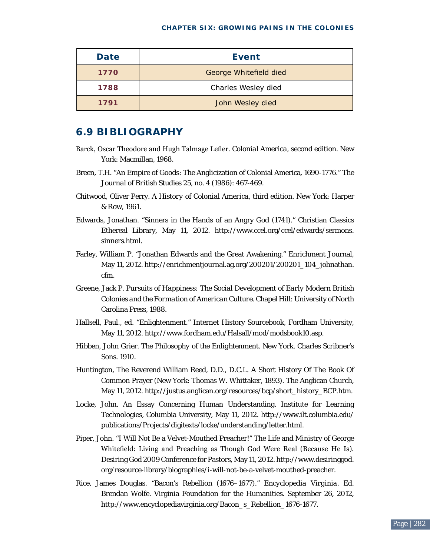#### **Chapter Six: Growing Pains in the Colonies**

| <b>Date</b> | Event                  |
|-------------|------------------------|
| 1770        | George Whitefield died |
| 1788        | Charles Wesley died    |
| 1791        | John Wesley died       |

### **6.9 BIBlIOGraPhy**

- Barck, Oscar Theodore and Hugh Talmage Lefler. *Colonial America*, second edition. New York: Macmillan, 1968.
- Breen, T.H. "An Empire of Goods: The Anglicization of Colonial America, 1690-1776." *The Journal of British Studies* 25, no. 4 (1986): 467-469.
- Chitwood, Oliver Perry. *A History of Colonial America*, third edition. New York: Harper & Row, 1961.
- Edwards, Jonathan. "Sinners in the Hands of an Angry God (1741)." Christian Classics Ethereal Library, May 11, 2012. [http://www.ccel.org/ccel/edwards/sermons.](http://www.ccel.org/ccel/edwards/sermons.sinners.html)  [sinners.html.](http://www.ccel.org/ccel/edwards/sermons.sinners.html)
- Farley, William P. "Jonathan Edwards and the Great Awakening." Enrichment Journal, May 11, 2012. [http://enrichmentjournal.ag.org/200201/200201\\_104\\_johnathan.](http://enrichmentjournal.ag.org/200201/200201_104_johnathan.cfm)  [cfm.](http://enrichmentjournal.ag.org/200201/200201_104_johnathan.cfm)
- Greene, Jack P. *Pursuits of Happiness: The Social Development of Early Modern British Colonies and the Formation of American Culture*. Chapel Hill: University of North Carolina Press, 1988.
- Hallsell, Paul., ed. "Enlightenment." Internet History Sourcebook, Fordham University, May 11, 2012. [http://www.fordham.edu/Halsall/mod/modsbook10.asp.](http://www.fordham.edu/Halsall/mod/modsbook10.asp)
- Hibben, John Grier. *The Philosophy of the Enlightenment.* New York. Charles Scribner's Sons. 1910.
- Huntington, The Reverend William Reed, D.D., D.C.L. A Short History Of The Book Of Common Prayer (New York: Thomas W. Whittaker, 1893). The Anglican Church, May 11, 2012. [http://justus.anglican.org/resources/bcp/short\\_history\\_BCP.htm.](http://justus.anglican.org/resources/bcp/short_history_BCP.htm)
- Locke, John. An Essay Concerning Human Understanding. Institute for Learning Technologies, Columbia University, May 11, 2012. [http://www.ilt.columbia.edu/](http://www.ilt.columbia.edu/publications/Projects/digitexts/locke/understanding/letter.html)  [publications/Projects/digitexts/locke/understanding/letter.html.](http://www.ilt.columbia.edu/publications/Projects/digitexts/locke/understanding/letter.html)
- Piper, John. "I Will Not Be a Velvet-Mouthed Preacher!" The Life and Ministry of George Whitefield: Living and Preaching as Though God Were Real (Because He Is). Desiring God 2009 Conference for Pastors, May 11, 2012. [http://www.desiringgod.](http://www.desiringgod.org/resource-library/biographies/i-will-not-be-a-velvet-mouthed-preacher)  [org/resource-library/biographies/i-will-not-be-a-velvet-mouthed-preacher.](http://www.desiringgod.org/resource-library/biographies/i-will-not-be-a-velvet-mouthed-preacher)
- Rice, James Douglas. "Bacon's Rebellion (1676–1677)." *Encyclopedia Virginia*. Ed. Brendan Wolfe. Virginia Foundation for the Humanities. September 26, 2012, [http://www.encyclopediavirginia.org/Bacon\\_s\\_Rebellion\\_1676-1677.](http://www.encyclopediavirginia.org/Bacon_s_Rebellion_1676-1677)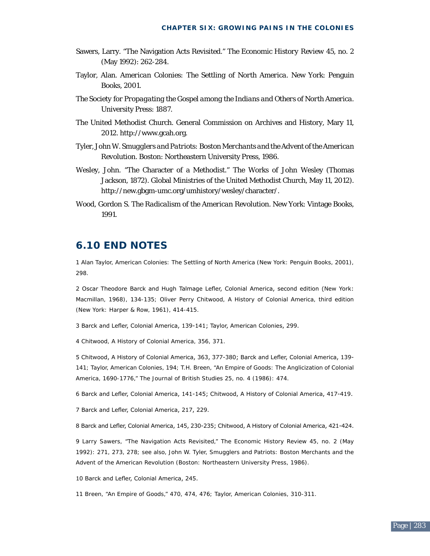- Sawers, Larry. "The Navigation Acts Revisited." *The Economic History Review* 45, no. 2 (May 1992): 262-284.
- Taylor, Alan. *American Colonies: The Settling of North America*. New York: Penguin Books, 2001.
- *The Society for Propagating the Gospel among the Indians and Others of North America.*  University Press: 1887.
- The United Methodist Church. General Commission on Archives and History, Mary 11, 2012. <http://www.gcah.org>.
- Tyler, John W. *Smugglers and Patriots: Boston Merchants and the Advent of the American Revolution*. Boston: Northeastern University Press, 1986.
- Wesley, John. "The Character of a Methodist." The Works of John Wesley (Thomas Jackson, 1872). Global Ministries of the United Methodist Church, May 11, 2012). <http://new.gbgm-umc.org/umhistory/wesley/character/>.
- Wood, Gordon S. *The Radicalism of the American Revolution*. New York: Vintage Books, 1991.

### **6.10 EnD nOtES**

1 Alan Taylor, American Colonies: The Settling of North America (New York: Penguin Books, 2001), 298.

2 Oscar Theodore Barck and Hugh Talmage Lefler, Colonial America, second edition (New York: Macmillan, 1968), 134-135; Oliver Perry Chitwood, A History of Colonial America, third edition (New York: Harper & Row, 1961), 414-415.

3 Barck and Lefler, Colonial America, 139-141; Taylor, American Colonies, 299.

4 Chitwood, A History of Colonial America, 356, 371.

5 Chitwood, A History of Colonial America, 363, 377-380; Barck and Lefler, Colonial America, 139- 141; Taylor, American Colonies, 194; T.H. Breen, "An Empire of Goods: The Anglicization of Colonial America, 1690-1776," The Journal of British Studies 25, no. 4 (1986): 474.

6 Barck and Lefler, Colonial America, 141-145; Chitwood, A History of Colonial America, 417-419.

7 Barck and Lefler, Colonial America, 217, 229.

8 Barck and Lefler, Colonial America, 145, 230-235; Chitwood, A History of Colonial America, 421-424.

9 Larry Sawers, "The Navigation Acts Revisited," The Economic History Review 45, no. 2 (May 1992): 271, 273, 278; see also, John W. Tyler, Smugglers and Patriots: Boston Merchants and the Advent of the American Revolution (Boston: Northeastern University Press, 1986).

10 Barck and Lefler, Colonial America, 245.

11 Breen, "An Empire of Goods," 470, 474, 476; Taylor, American Colonies, 310-311.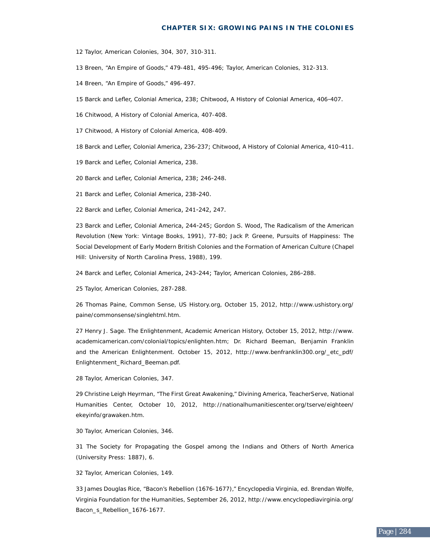#### **Chapter Six: Growing Pains in the Colonies**

2 Taylor, American Colonies, 304, 307, 310-311.

3 Breen, "An Empire of Goods," 479-481, 495-496; Taylor, American Colonies, 312-313.

Breen, "An Empire of Goods," 496-497.

5 Barck and Lefler, Colonial America, 238; Chitwood, A History of Colonial America, 406-407.

Chitwood, A History of Colonial America, 407-408.

Chitwood, A History of Colonial America, 408-409.

8 Barck and Lefler, Colonial America, 236-237; Chitwood, A History of Colonial America, 410-411.

9 Barck and Lefler, Colonial America, 238.

Barck and Lefler, Colonial America, 238; 246-248.

1 Barck and Lefler, Colonial America, 238-240.

Barck and Lefler, Colonial America, 241-242, 247.

 Barck and Lefler, Colonial America, 244-245; Gordon S. Wood, The Radicalism of the American Revolution (New York: Vintage Books, 1991), 77-80; Jack P. Greene, Pursuits of Happiness: The Social Development of Early Modern British Colonies and the Formation of American Culture (Chapel Hill: University of North Carolina Press, 1988), 199.

Barck and Lefler, Colonial America, 243-244; Taylor, American Colonies, 286-288.

Taylor, American Colonies, 287-288.

 Thomas Paine, Common Sense, US History.org, October 15, 2012, http://www.ushistory.org/ paine/commonsense/singlehtml.htm.

 Henry J. Sage. The Enlightenment, Academic American History, October 15, 2012, [http://www.](http://www.academicamerican.com/colonial/topics/enlighten.htm) [academicamerican.com/colonial/topics/enlighten.htm](http://www.academicamerican.com/colonial/topics/enlighten.htm); Dr. Richard Beeman, Benjamin Franklin and the American Enlightenment. October 15, 2012, [http://www.benfranklin300.org/\\_etc\\_pdf/](http://www.benfranklin300.org/_etc_pdf/Enlightenment_Richard_Beeman.pdf) [Enlightenment\\_Richard\\_Beeman.pdf](http://www.benfranklin300.org/_etc_pdf/Enlightenment_Richard_Beeman.pdf).

Taylor, American Colonies, 347.

 Christine Leigh Heyrman, "The First Great Awakening," Divining America, TeacherServe, National Humanities Center, October 10, 2012, http://nationalhumanitiescenter.org/tserve/eighteen/ ekeyinfo/grawaken.htm.

Taylor, American Colonies, 346.

 The Society for Propagating the Gospel among the Indians and Others of North America (University Press: 1887), 6.

Taylor, American Colonies, 149.

 James Douglas Rice, "Bacon's Rebellion (1676-1677)," Encyclopedia Virginia, ed. Brendan Wolfe, Virginia Foundation for the Humanities, September 26, 2012, [http://www.encyclopediavirginia.org/](http://www.encyclopediavirginia.org/Bacon_s_Rebellion_1676-1677)  [Bacon\\_s\\_Rebellion\\_1676-1677](http://www.encyclopediavirginia.org/Bacon_s_Rebellion_1676-1677).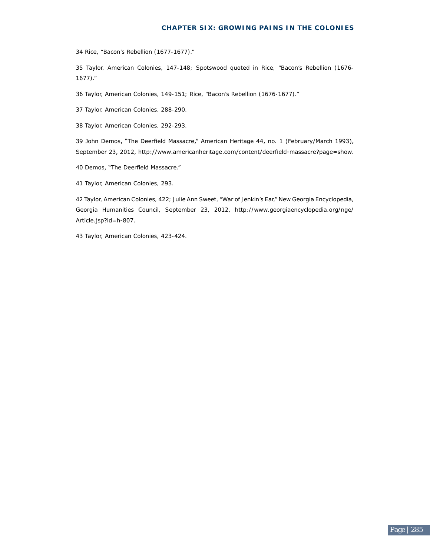#### **Chapter Six: Growing Pains in the Colonies**

Rice, "Bacon's Rebellion (1677-1677)."

 Taylor, American Colonies, 147-148; Spotswood quoted in Rice, "Bacon's Rebellion (1676 1677)."

Taylor, American Colonies, 149-151; Rice, "Bacon's Rebellion (1676-1677)."

7 Taylor, American Colonies, 288-290.

Taylor, American Colonies, 292-293.

 John Demos, "The Deerfield Massacre," American Heritage 44, no. 1 (February/March 1993), September 23, 2012, <http://www.americanheritage.com/content/deerfield-massacre?page=show>.

0 Demos, "The Deerfield Massacre."

Taylor, American Colonies, 293.

 Taylor, American Colonies, 422; Julie Ann Sweet, "War of Jenkin's Ear," New Georgia Encyclopedia, Georgia Humanities Council, September 23, 2012, [http://www.georgiaencyclopedia.org/nge/](http://www.georgiaencyclopedia.org/nge/Article.jsp?id=h-807)  [Article.jsp?id=h-807](http://www.georgiaencyclopedia.org/nge/Article.jsp?id=h-807).

Taylor, American Colonies, 423-424.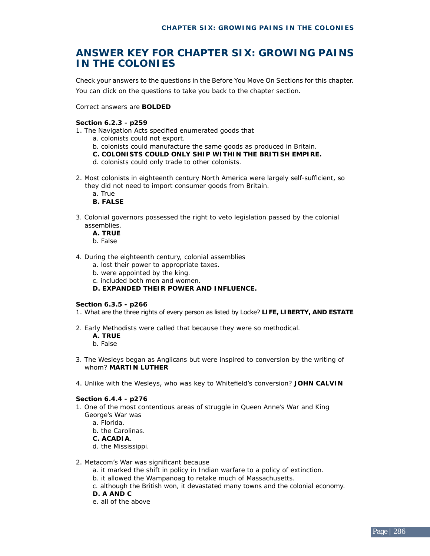## **anSWEr kEy fOr ChaPtEr SIx: GrOWInG PaInS In thE COlOnIES**

Check your answers to the questions in the Before You Move On Sections for this chapter. You can click on the questions to take you back to the chapter section.

Correct answers are **BOlDED** 

#### **Section 6.2.3 - p259**

- 1. The Navigation Acts specified enumerated goods that
	- a. colonists could not export.
	- b. colonists could manufacture the same goods as produced in Britain.
	- **C. COlOnIStS COUlD Only ShIP WIthIn thE BrItISh EmPIrE.**
	- d. colonists could only trade to other colonists.
- 2. Most colonists in eighteenth century North America were largely self-sufficient, so they did not need to import consumer goods from Britain.
	- a. True
	- **B. falSE**
- 3. Colonial governors possessed the right to veto legislation passed by the colonial assemblies.
	- **a. trUE**
	- b. False
- 4. During the eighteenth century, colonial assemblies
	- a. lost their power to appropriate taxes.
	- b. were appointed by the king.
	- c. included both men and women.
	- **D. ExPanDED thEIr POWEr anD InflUEnCE.**

#### **Section 6.3.5 - p266**

- 1. What are the three rights of every person as listed by Locke? **lIfE, lIBErty, anD EStatE**
- 2. Early Methodists were called that because they were so methodical.
	- **a. trUE**
	- b. False
- 3. The Wesleys began as Anglicans but were inspired to conversion by the writing of whom? **martIn lUthEr**
- 4. Unlike with the Wesleys, who was key to Whitefield's conversion? **JOhn CalvIn**

#### **Section 6.4.4 - p276**

- 1. One of the most contentious areas of struggle in Queen Anne's War and King George's War was
	- a. Florida.
	- b. the Carolinas.

#### **C. aCaDIa**.

- d. the Mississippi.
- 2. Metacom's War was significant because
	- a. it marked the shift in policy in Indian warfare to a policy of extinction.
	- b. it allowed the Wampanoag to retake much of Massachusetts.
	- c. although the British won, it devastated many towns and the colonial economy.
	- **D. a anD C**
	- e. all of the above